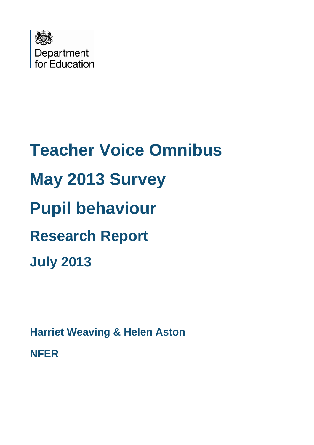

# **Teacher Voice Omnibus May 2013 Survey Pupil behaviour Research Report July 2013**

**Harriet Weaving & Helen Aston**

**NFER**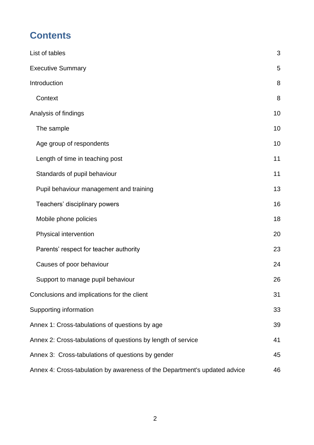# **Contents**

| List of tables                                                            | 3  |
|---------------------------------------------------------------------------|----|
| <b>Executive Summary</b>                                                  | 5  |
| Introduction                                                              | 8  |
| Context                                                                   | 8  |
| Analysis of findings                                                      | 10 |
| The sample                                                                | 10 |
| Age group of respondents                                                  | 10 |
| Length of time in teaching post                                           | 11 |
| Standards of pupil behaviour                                              | 11 |
| Pupil behaviour management and training                                   | 13 |
| Teachers' disciplinary powers                                             | 16 |
| Mobile phone policies                                                     | 18 |
| Physical intervention                                                     | 20 |
| Parents' respect for teacher authority                                    | 23 |
| Causes of poor behaviour                                                  | 24 |
| Support to manage pupil behaviour                                         | 26 |
| Conclusions and implications for the client                               | 31 |
| Supporting information                                                    | 33 |
| Annex 1: Cross-tabulations of questions by age                            | 39 |
| Annex 2: Cross-tabulations of questions by length of service              | 41 |
| Annex 3: Cross-tabulations of questions by gender                         | 45 |
| Annex 4: Cross-tabulation by awareness of the Department's updated advice | 46 |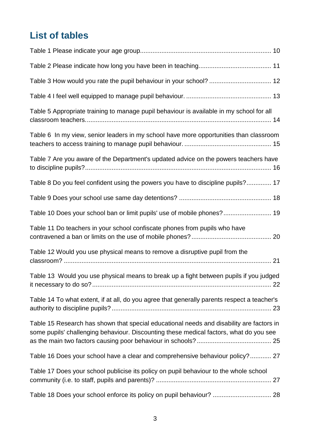# <span id="page-2-0"></span>**List of tables**

| Table 5 Appropriate training to manage pupil behaviour is available in my school for all                                                                                           |
|------------------------------------------------------------------------------------------------------------------------------------------------------------------------------------|
| Table 6 In my view, senior leaders in my school have more opportunities than classroom                                                                                             |
| Table 7 Are you aware of the Department's updated advice on the powers teachers have                                                                                               |
| Table 8 Do you feel confident using the powers you have to discipline pupils? 17                                                                                                   |
|                                                                                                                                                                                    |
| Table 10 Does your school ban or limit pupils' use of mobile phones? 19                                                                                                            |
| Table 11 Do teachers in your school confiscate phones from pupils who have                                                                                                         |
| Table 12 Would you use physical means to remove a disruptive pupil from the                                                                                                        |
|                                                                                                                                                                                    |
| Table 13 Would you use physical means to break up a fight between pupils if you judged                                                                                             |
| Table 14 To what extent, if at all, do you agree that generally parents respect a teacher's                                                                                        |
| Table 15 Research has shown that special educational needs and disability are factors in<br>some pupils' challenging behaviour. Discounting these medical factors, what do you see |
| Table 16 Does your school have a clear and comprehensive behaviour policy? 27                                                                                                      |
| Table 17 Does your school publicise its policy on pupil behaviour to the whole school                                                                                              |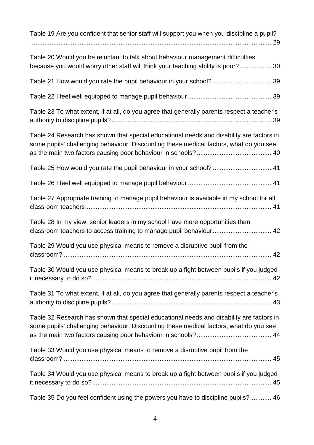| Table 19 Are you confident that senior staff will support you when you discipline a pupil?                                                                                         |
|------------------------------------------------------------------------------------------------------------------------------------------------------------------------------------|
| Table 20 Would you be reluctant to talk about behaviour management difficulties<br>because you would worry other staff will think your teaching ability is poor? 30                |
|                                                                                                                                                                                    |
|                                                                                                                                                                                    |
| Table 23 To what extent, if at all, do you agree that generally parents respect a teacher's                                                                                        |
| Table 24 Research has shown that special educational needs and disability are factors in<br>some pupils' challenging behaviour. Discounting these medical factors, what do you see |
| Table 25 How would you rate the pupil behaviour in your school?  41                                                                                                                |
|                                                                                                                                                                                    |
| Table 27 Appropriate training to manage pupil behaviour is available in my school for all                                                                                          |
| Table 28 In my view, senior leaders in my school have more opportunities than<br>classroom teachers to access training to manage pupil behaviour 42                                |
| Table 29 Would you use physical means to remove a disruptive pupil from the                                                                                                        |
| Table 30 Would you use physical means to break up a fight between pupils if you judged                                                                                             |
| Table 31 To what extent, if at all, do you agree that generally parents respect a teacher's                                                                                        |
| Table 32 Research has shown that special educational needs and disability are factors in<br>some pupils' challenging behaviour. Discounting these medical factors, what do you see |
| Table 33 Would you use physical means to remove a disruptive pupil from the                                                                                                        |
| Table 34 Would you use physical means to break up a fight between pupils if you judged                                                                                             |
| Table 35 Do you feel confident using the powers you have to discipline pupils? 46                                                                                                  |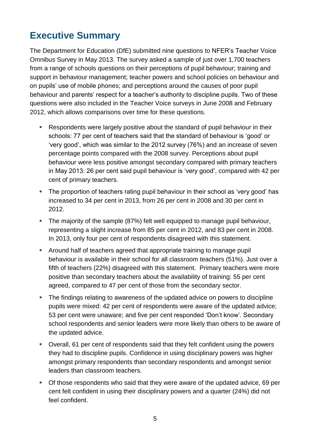# <span id="page-4-0"></span>**Executive Summary**

The Department for Education (DfE) submitted nine questions to NFER's Teacher Voice Omnibus Survey in May 2013. The survey asked a sample of just over 1,700 teachers from a range of schools questions on their perceptions of pupil behaviour; training and support in behaviour management; teacher powers and school policies on behaviour and on pupils' use of mobile phones; and perceptions around the causes of poor pupil behaviour and parents' respect for a teacher's authority to discipline pupils. Two of these questions were also included in the Teacher Voice surveys in June 2008 and February 2012, which allows comparisons over time for these questions.

- Respondents were largely positive about the standard of pupil behaviour in their schools: 77 per cent of teachers said that the standard of behaviour is 'good' or 'very good', which was similar to the 2012 survey (76%) and an increase of seven percentage points compared with the 2008 survey. Perceptions about pupil behaviour were less positive amongst secondary compared with primary teachers in May 2013: 26 per cent said pupil behaviour is 'very good', compared with 42 per cent of primary teachers.
- The proportion of teachers rating pupil behaviour in their school as 'very good' has increased to 34 per cent in 2013, from 26 per cent in 2008 and 30 per cent in 2012.
- The majority of the sample (87%) felt well equipped to manage pupil behaviour, representing a slight increase from 85 per cent in 2012, and 83 per cent in 2008. In 2013, only four per cent of respondents disagreed with this statement.
- Around half of teachers agreed that appropriate training to manage pupil behaviour is available in their school for all classroom teachers (51%). Just over a fifth of teachers (22%) disagreed with this statement. Primary teachers were more positive than secondary teachers about the availability of training: 55 per cent agreed, compared to 47 per cent of those from the secondary sector.
- The findings relating to awareness of the updated advice on powers to discipline pupils were mixed: 42 per cent of respondents were aware of the updated advice; 53 per cent were unaware; and five per cent responded 'Don't know'. Secondary school respondents and senior leaders were more likely than others to be aware of the updated advice.
- Overall, 61 per cent of respondents said that they felt confident using the powers they had to discipline pupils. Confidence in using disciplinary powers was higher amongst primary respondents than secondary respondents and amongst senior leaders than classroom teachers.
- Of those respondents who said that they were aware of the updated advice, 69 per cent felt confident in using their disciplinary powers and a quarter (24%) did not feel confident.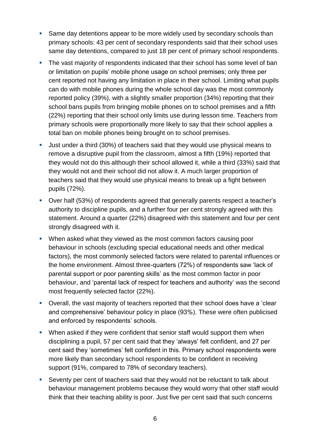- Same day detentions appear to be more widely used by secondary schools than primary schools: 43 per cent of secondary respondents said that their school uses same day detentions, compared to just 18 per cent of primary school respondents.
- The vast majority of respondents indicated that their school has some level of ban or limitation on pupils' mobile phone usage on school premises; only three per cent reported not having any limitation in place in their school. Limiting what pupils can do with mobile phones during the whole school day was the most commonly reported policy (39%), with a slightly smaller proportion (34%) reporting that their school bans pupils from bringing mobile phones on to school premises and a fifth (22%) reporting that their school only limits use during lesson time. Teachers from primary schools were proportionally more likely to say that their school applies a total ban on mobile phones being brought on to school premises.
- Just under a third (30%) of teachers said that they would use physical means to remove a disruptive pupil from the classroom, almost a fifth (19%) reported that they would not do this although their school allowed it, while a third (33%) said that they would not and their school did not allow it. A much larger proportion of teachers said that they would use physical means to break up a fight between pupils (72%).
- Over half (53%) of respondents agreed that generally parents respect a teacher's authority to discipline pupils, and a further four per cent strongly agreed with this statement. Around a quarter (22%) disagreed with this statement and four per cent strongly disagreed with it.
- When asked what they viewed as the most common factors causing poor behaviour in schools (excluding special educational needs and other medical factors), the most commonly selected factors were related to parental influences or the home environment. Almost three-quarters (72%) of respondents saw 'lack of parental support or poor parenting skills' as the most common factor in poor behaviour, and 'parental lack of respect for teachers and authority' was the second most frequently selected factor (22%).
- Overall, the vast majority of teachers reported that their school does have a 'clear and comprehensive' behaviour policy in place (93%). These were often publicised and enforced by respondents' schools.
- When asked if they were confident that senior staff would support them when disciplining a pupil, 57 per cent said that they 'always' felt confident, and 27 per cent said they 'sometimes' felt confident in this. Primary school respondents were more likely than secondary school respondents to be confident in receiving support (91%, compared to 78% of secondary teachers).
- Seventy per cent of teachers said that they would not be reluctant to talk about behaviour management problems because they would worry that other staff would think that their teaching ability is poor. Just five per cent said that such concerns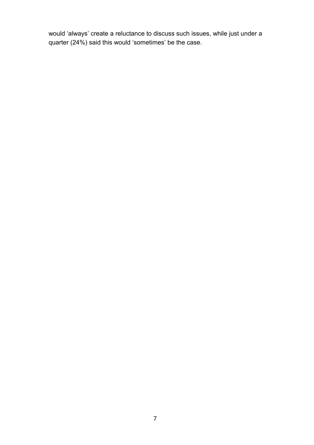would 'always' create a reluctance to discuss such issues, while just under a quarter (24%) said this would 'sometimes' be the case.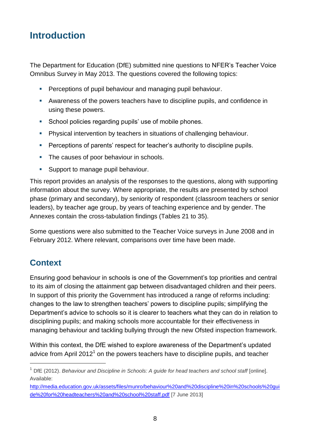# <span id="page-7-0"></span>**Introduction**

The Department for Education (DfE) submitted nine questions to NFER's Teacher Voice Omnibus Survey in May 2013. The questions covered the following topics:

- **Perceptions of pupil behaviour and managing pupil behaviour.**
- Awareness of the powers teachers have to discipline pupils, and confidence in using these powers.
- **School policies regarding pupils' use of mobile phones.**
- Physical intervention by teachers in situations of challenging behaviour.
- **Perceptions of parents' respect for teacher's authority to discipline pupils.**
- The causes of poor behaviour in schools.
- **Support to manage pupil behaviour.**

This report provides an analysis of the responses to the questions, along with supporting information about the survey. Where appropriate, the results are presented by school phase (primary and secondary), by seniority of respondent (classroom teachers or senior leaders), by teacher age group, by years of teaching experience and by gender. The Annexes contain the cross-tabulation findings (Tables 21 to 35).

Some questions were also submitted to the Teacher Voice surveys in June 2008 and in February 2012. Where relevant, comparisons over time have been made.

### <span id="page-7-1"></span>**Context**

 $\overline{a}$ 

Ensuring good behaviour in schools is one of the Government's top priorities and central to its aim of closing the attainment gap between disadvantaged children and their peers. In support of this priority the Government has introduced a range of reforms including: changes to the law to strengthen teachers' powers to discipline pupils; simplifying the Department's advice to schools so it is clearer to teachers what they can do in relation to disciplining pupils; and making schools more accountable for their effectiveness in managing behaviour and tackling bullying through the new Ofsted inspection framework.

Within this context, the DfE wished to explore awareness of the Department's updated advice from April 2012<sup>1</sup> on the powers teachers have to discipline pupils, and teacher

<sup>1</sup> DfE (2012). *Behaviour and Discipline in Schools: A guide for head teachers and school staff* [online]. Available:

[http://media.education.gov.uk/assets/files/munro/behaviour%20and%20discipline%20in%20schools%20gui](http://media.education.gov.uk/assets/files/munro/behaviour%20and%20discipline%20in%20schools%20guide%20for%20headteachers%20and%20school%20staff.pdf) [de%20for%20headteachers%20and%20school%20staff.pdf](http://media.education.gov.uk/assets/files/munro/behaviour%20and%20discipline%20in%20schools%20guide%20for%20headteachers%20and%20school%20staff.pdf) [7 June 2013]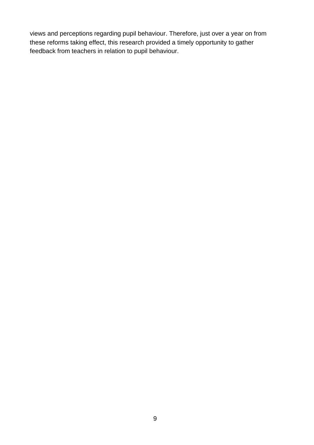views and perceptions regarding pupil behaviour. Therefore, just over a year on from these reforms taking effect, this research provided a timely opportunity to gather feedback from teachers in relation to pupil behaviour.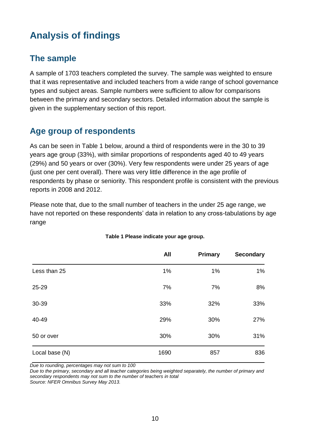# <span id="page-9-0"></span>**Analysis of findings**

# <span id="page-9-1"></span>**The sample**

A sample of 1703 teachers completed the survey. The sample was weighted to ensure that it was representative and included teachers from a wide range of school governance types and subject areas. Sample numbers were sufficient to allow for comparisons between the primary and secondary sectors. Detailed information about the sample is given in the supplementary section of this report.

# <span id="page-9-2"></span>**Age group of respondents**

As can be seen in Table 1 below, around a third of respondents were in the 30 to 39 years age group (33%), with similar proportions of respondents aged 40 to 49 years (29%) and 50 years or over (30%). Very few respondents were under 25 years of age (just one per cent overall). There was very little difference in the age profile of respondents by phase or seniority. This respondent profile is consistent with the previous reports in 2008 and 2012.

Please note that, due to the small number of teachers in the under 25 age range, we have not reported on these respondents' data in relation to any cross-tabulations by age range

<span id="page-9-3"></span>

|                | All  | Primary | <b>Secondary</b> |
|----------------|------|---------|------------------|
| Less than 25   | 1%   | $1\%$   | 1%               |
| 25-29          | 7%   | 7%      | 8%               |
| 30-39          | 33%  | 32%     | 33%              |
| 40-49          | 29%  | 30%     | 27%              |
| 50 or over     | 30%  | 30%     | 31%              |
| Local base (N) | 1690 | 857     | 836              |

### **Table 1 Please indicate your age group.**

*Due to rounding, percentages may not sum to 100*

*Due to the primary, secondary and all teacher categories being weighted separately, the number of primary and secondary respondents may not sum to the number of teachers in total*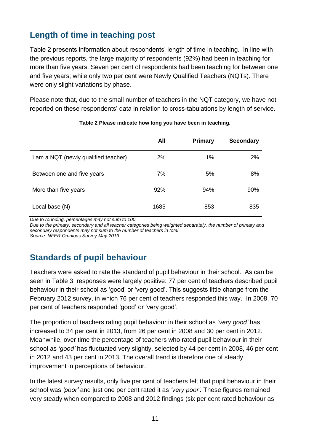# <span id="page-10-0"></span>**Length of time in teaching post**

Table 2 presents information about respondents' length of time in teaching. In line with the previous reports, the large majority of respondents (92%) had been in teaching for more than five years. Seven per cent of respondents had been teaching for between one and five years; while only two per cent were Newly Qualified Teachers (NQTs). There were only slight variations by phase.

Please note that, due to the small number of teachers in the NQT category, we have not reported on these respondents' data in relation to cross-tabulations by length of service.

<span id="page-10-2"></span>

|                                      | All  | <b>Primary</b> | <b>Secondary</b> |
|--------------------------------------|------|----------------|------------------|
| I am a NQT (newly qualified teacher) | 2%   | 1%             | 2%               |
| Between one and five years           | 7%   | 5%             | 8%               |
| More than five years                 | 92%  | 94%            | 90%              |
| Local base (N)                       | 1685 | 853            | 835              |

### **Table 2 Please indicate how long you have been in teaching.**

*Due to rounding, percentages may not sum to 100*

*Due to the primary, secondary and all teacher categories being weighted separately, the number of primary and secondary respondents may not sum to the number of teachers in total Source: NFER Omnibus Survey May 2013.*

# <span id="page-10-1"></span>**Standards of pupil behaviour**

Teachers were asked to rate the standard of pupil behaviour in their school. As can be seen in Table 3, responses were largely positive: 77 per cent of teachers described pupil behaviour in their school as 'good' or 'very good'. This suggests little change from the February 2012 survey, in which 76 per cent of teachers responded this way. In 2008, 70 per cent of teachers responded 'good' or 'very good'.

The proportion of teachers rating pupil behaviour in their school as *'very good'* has increased to 34 per cent in 2013, from 26 per cent in 2008 and 30 per cent in 2012. Meanwhile, over time the percentage of teachers who rated pupil behaviour in their school as *'good'* has fluctuated very slightly, selected by 44 per cent in 2008, 46 per cent in 2012 and 43 per cent in 2013. The overall trend is therefore one of steady improvement in perceptions of behaviour.

In the latest survey results, only five per cent of teachers felt that pupil behaviour in their school was *'poor'* and just one per cent rated it as *'very poor'.* These figures remained very steady when compared to 2008 and 2012 findings (six per cent rated behaviour as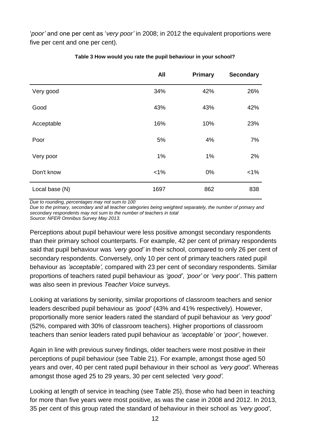'*poor'* and one per cent as '*very poor'* in 2008; in 2012 the equivalent proportions were five per cent and one per cent).

<span id="page-11-0"></span>

|                | All     | <b>Primary</b> | <b>Secondary</b> |
|----------------|---------|----------------|------------------|
| Very good      | 34%     | 42%            | 26%              |
| Good           | 43%     | 43%            | 42%              |
| Acceptable     | 16%     | 10%            | 23%              |
| Poor           | 5%      | 4%             | 7%               |
| Very poor      | 1%      | 1%             | 2%               |
| Don't know     | $< 1\%$ | 0%             | $< 1\%$          |
| Local base (N) | 1697    | 862            | 838              |

### **Table 3 How would you rate the pupil behaviour in your school?**

*Due to rounding, percentages may not sum to 100*

*Due to the primary, secondary and all teacher categories being weighted separately, the number of primary and secondary respondents may not sum to the number of teachers in total*

*Source: NFER Omnibus Survey May 2013.*

Perceptions about pupil behaviour were less positive amongst secondary respondents than their primary school counterparts. For example, 42 per cent of primary respondents said that pupil behaviour was *'very good'* in their school, compared to only 26 per cent of secondary respondents. Conversely, only 10 per cent of primary teachers rated pupil behaviour as *'acceptable',* compared with 23 per cent of secondary respondents. Similar proportions of teachers rated pupil behaviour as *'good'*, *'poor'* or *'very* poor'. This pattern was also seen in previous *Teacher Voice* surveys.

Looking at variations by seniority, similar proportions of classroom teachers and senior leaders described pupil behaviour as *'good'* (43% and 41% respectively). However, proportionally more senior leaders rated the standard of pupil behaviour as *'very good'* (52%, compared with 30% of classroom teachers). Higher proportions of classroom teachers than senior leaders rated pupil behaviour as *'acceptable'* or *'poor'*, however.

Again in line with previous survey findings, older teachers were most positive in their perceptions of pupil behaviour (see Table 21). For example, amongst those aged 50 years and over, 40 per cent rated pupil behaviour in their school as *'very good'.* Whereas amongst those aged 25 to 29 years, 30 per cent selected *'very good'.* 

Looking at length of service in teaching (see Table 25), those who had been in teaching for more than five years were most positive, as was the case in 2008 and 2012. In 2013, 35 per cent of this group rated the standard of behaviour in their school as *'very good'*,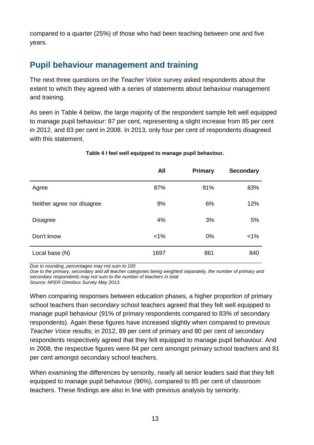compared to a quarter (25%) of those who had been teaching between one and five years.

# <span id="page-12-0"></span>**Pupil behaviour management and training**

The next three questions on the *Teacher Voice* survey asked respondents about the extent to which they agreed with a series of statements about behaviour management and training.

As seen in Table 4 below, the large majority of the respondent sample felt well equipped to manage pupil behaviour: 87 per cent, representing a slight increase from 85 per cent in 2012, and 83 per cent in 2008. In 2013, only four per cent of respondents disagreed with this statement.

<span id="page-12-1"></span>

|                            | <b>All</b> | <b>Primary</b> | <b>Secondary</b> |
|----------------------------|------------|----------------|------------------|
| Agree                      | 87%        | 91%            | 83%              |
| Neither agree nor disagree | 9%         | 6%             | 12%              |
| <b>Disagree</b>            | 4%         | 3%             | 5%               |
| Don't know                 | $< 1\%$    | 0%             | $< 1\%$          |
| Local base (N)             | 1697       | 861            | 840              |

### **Table 4 I feel well equipped to manage pupil behaviour.**

*Due to rounding, percentages may not sum to 100*

*Due to the primary, secondary and all teacher categories being weighted separately, the number of primary and secondary respondents may not sum to the number of teachers in total*

*Source: NFER Omnibus Survey May 2013.*

When comparing responses between education phases, a higher proportion of primary school teachers than secondary school teachers agreed that they felt well equipped to manage pupil behaviour (91% of primary respondents compared to 83% of secondary respondents). Again these figures have increased slightly when compared to previous *Teacher Voice* results; in 2012, 89 per cent of primary and 80 per cent of secondary respondents respectively agreed that they felt equipped to manage pupil behaviour. And in 2008, the respective figures were 84 per cent amongst primary school teachers and 81 per cent amongst secondary school teachers.

When examining the differences by seniority, nearly all senior leaders said that they felt equipped to manage pupil behaviour (96%), compared to 85 per cent of classroom teachers. These findings are also in line with previous analysis by seniority.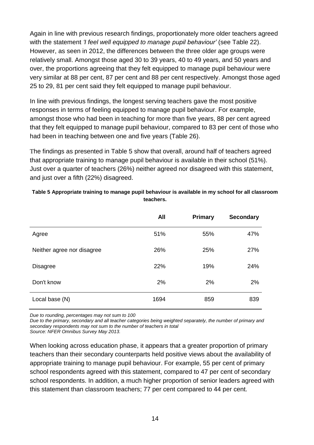Again in line with previous research findings, proportionately more older teachers agreed with the statement *'I feel well equipped to manage pupil behaviour'* (see Table 22). However, as seen in 2012, the differences between the three older age groups were relatively small. Amongst those aged 30 to 39 years, 40 to 49 years, and 50 years and over, the proportions agreeing that they felt equipped to manage pupil behaviour were very similar at 88 per cent, 87 per cent and 88 per cent respectively. Amongst those aged 25 to 29, 81 per cent said they felt equipped to manage pupil behaviour.

In line with previous findings, the longest serving teachers gave the most positive responses in terms of feeling equipped to manage pupil behaviour. For example, amongst those who had been in teaching for more than five years, 88 per cent agreed that they felt equipped to manage pupil behaviour, compared to 83 per cent of those who had been in teaching between one and five years (Table 26).

The findings as presented in Table 5 show that overall, around half of teachers agreed that appropriate training to manage pupil behaviour is available in their school (51%). Just over a quarter of teachers (26%) neither agreed nor disagreed with this statement, and just over a fifth (22%) disagreed.

|                            | <b>All</b> | Primary | <b>Secondary</b> |
|----------------------------|------------|---------|------------------|
| Agree                      | 51%        | 55%     | 47%              |
| Neither agree nor disagree | 26%        | 25%     | 27%              |
| <b>Disagree</b>            | 22%        | 19%     | 24%              |
| Don't know                 | 2%         | 2%      | 2%               |
| Local base (N)             | 1694       | 859     | 839              |

### <span id="page-13-0"></span>**Table 5 Appropriate training to manage pupil behaviour is available in my school for all classroom teachers.**

*Due to rounding, percentages may not sum to 100*

*Due to the primary, secondary and all teacher categories being weighted separately, the number of primary and secondary respondents may not sum to the number of teachers in total Source: NFER Omnibus Survey May 2013.*

When looking across education phase, it appears that a greater proportion of primary teachers than their secondary counterparts held positive views about the availability of appropriate training to manage pupil behaviour. For example, 55 per cent of primary school respondents agreed with this statement, compared to 47 per cent of secondary school respondents. In addition, a much higher proportion of senior leaders agreed with this statement than classroom teachers; 77 per cent compared to 44 per cent.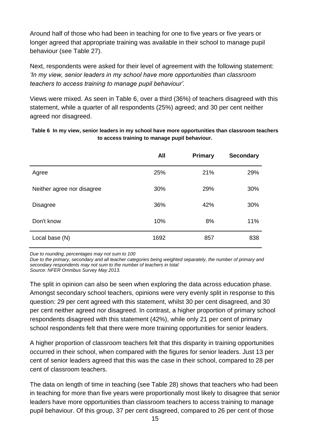Around half of those who had been in teaching for one to five years or five years or longer agreed that appropriate training was available in their school to manage pupil behaviour (see Table 27).

Next, respondents were asked for their level of agreement with the following statement: *'In my view, senior leaders in my school have more opportunities than classroom teachers to access training to manage pupil behaviour'.*

Views were mixed. As seen in Table 6, over a third (36%) of teachers disagreed with this statement, while a quarter of all respondents (25%) agreed; and 30 per cent neither agreed nor disagreed.

<span id="page-14-0"></span>**Table 6 In my view, senior leaders in my school have more opportunities than classroom teachers to access training to manage pupil behaviour.**

|                            | <b>All</b> | Primary | <b>Secondary</b> |
|----------------------------|------------|---------|------------------|
| Agree                      | 25%        | 21%     | 29%              |
| Neither agree nor disagree | 30%        | 29%     | 30%              |
| <b>Disagree</b>            | 36%        | 42%     | 30%              |
| Don't know                 | 10%        | 8%      | 11%              |
| Local base (N)             | 1692       | 857     | 838              |

*Due to rounding, percentages may not sum to 100*

*Due to the primary, secondary and all teacher categories being weighted separately, the number of primary and secondary respondents may not sum to the number of teachers in total*

*Source: NFER Omnibus Survey May 2013.*

The split in opinion can also be seen when exploring the data across education phase. Amongst secondary school teachers, opinions were very evenly split in response to this question: 29 per cent agreed with this statement, whilst 30 per cent disagreed, and 30 per cent neither agreed nor disagreed. In contrast, a higher proportion of primary school respondents disagreed with this statement (42%), while only 21 per cent of primary school respondents felt that there were more training opportunities for senior leaders.

A higher proportion of classroom teachers felt that this disparity in training opportunities occurred in their school, when compared with the figures for senior leaders. Just 13 per cent of senior leaders agreed that this was the case in their school, compared to 28 per cent of classroom teachers.

The data on length of time in teaching (see Table 28) shows that teachers who had been in teaching for more than five years were proportionally most likely to disagree that senior leaders have more opportunities than classroom teachers to access training to manage pupil behaviour. Of this group, 37 per cent disagreed, compared to 26 per cent of those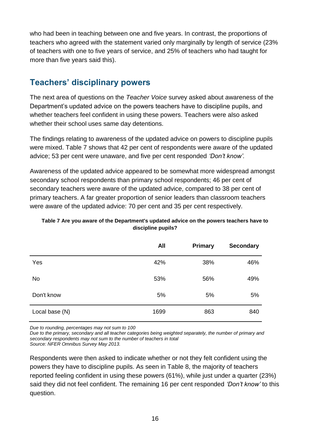who had been in teaching between one and five years. In contrast, the proportions of teachers who agreed with the statement varied only marginally by length of service (23% of teachers with one to five years of service, and 25% of teachers who had taught for more than five years said this).

# <span id="page-15-0"></span>**Teachers' disciplinary powers**

The next area of questions on the *Teacher Voice* survey asked about awareness of the Department's updated advice on the powers teachers have to discipline pupils, and whether teachers feel confident in using these powers. Teachers were also asked whether their school uses same day detentions.

The findings relating to awareness of the updated advice on powers to discipline pupils were mixed. Table 7 shows that 42 per cent of respondents were aware of the updated advice; 53 per cent were unaware, and five per cent responded *'Don't know'.*

Awareness of the updated advice appeared to be somewhat more widespread amongst secondary school respondents than primary school respondents; 46 per cent of secondary teachers were aware of the updated advice, compared to 38 per cent of primary teachers. A far greater proportion of senior leaders than classroom teachers were aware of the updated advice: 70 per cent and 35 per cent respectively.

### <span id="page-15-1"></span>**Table 7 Are you aware of the Department's updated advice on the powers teachers have to discipline pupils?**

|                | All  | <b>Primary</b> | <b>Secondary</b> |
|----------------|------|----------------|------------------|
| Yes            | 42%  | 38%            | 46%              |
| <b>No</b>      | 53%  | 56%            | 49%              |
| Don't know     | 5%   | 5%             | 5%               |
| Local base (N) | 1699 | 863            | 840              |

*Due to rounding, percentages may not sum to 100*

*Due to the primary, secondary and all teacher categories being weighted separately, the number of primary and secondary respondents may not sum to the number of teachers in total*

*Source: NFER Omnibus Survey May 2013.*

Respondents were then asked to indicate whether or not they felt confident using the powers they have to discipline pupils. As seen in Table 8, the majority of teachers reported feeling confident in using these powers (61%), while just under a quarter (23%) said they did not feel confident. The remaining 16 per cent responded *'Don't know'* to this question.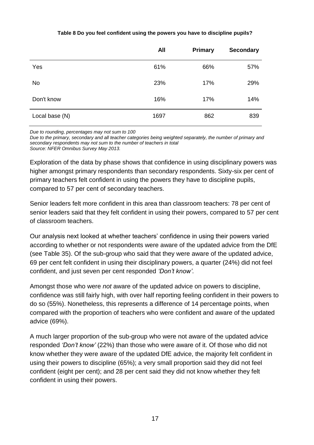### **Table 8 Do you feel confident using the powers you have to discipline pupils?**

<span id="page-16-0"></span>

|                | <b>All</b> | <b>Primary</b> | <b>Secondary</b> |
|----------------|------------|----------------|------------------|
| Yes            | 61%        | 66%            | 57%              |
| No             | 23%        | 17%            | 29%              |
| Don't know     | 16%        | 17%            | 14%              |
| Local base (N) | 1697       | 862            | 839              |

*Due to rounding, percentages may not sum to 100*

*Due to the primary, secondary and all teacher categories being weighted separately, the number of primary and secondary respondents may not sum to the number of teachers in total Source: NFER Omnibus Survey May 2013.*

Exploration of the data by phase shows that confidence in using disciplinary powers was higher amongst primary respondents than secondary respondents. Sixty-six per cent of primary teachers felt confident in using the powers they have to discipline pupils, compared to 57 per cent of secondary teachers.

Senior leaders felt more confident in this area than classroom teachers: 78 per cent of senior leaders said that they felt confident in using their powers, compared to 57 per cent of classroom teachers.

Our analysis next looked at whether teachers' confidence in using their powers varied according to whether or not respondents were aware of the updated advice from the DfE (see Table 35). Of the sub-group who said that they were aware of the updated advice, 69 per cent felt confident in using their disciplinary powers, a quarter (24%) did not feel confident, and just seven per cent responded *'Don't know'*.

Amongst those who were *not* aware of the updated advice on powers to discipline, confidence was still fairly high, with over half reporting feeling confident in their powers to do so (55%). Nonetheless, this represents a difference of 14 percentage points, when compared with the proportion of teachers who were confident and aware of the updated advice (69%).

A much larger proportion of the sub-group who were not aware of the updated advice responded *'Don't know'* (22%) than those who were aware of it. Of those who did not know whether they were aware of the updated DfE advice, the majority felt confident in using their powers to discipline (65%); a very small proportion said they did not feel confident (eight per cent); and 28 per cent said they did not know whether they felt confident in using their powers.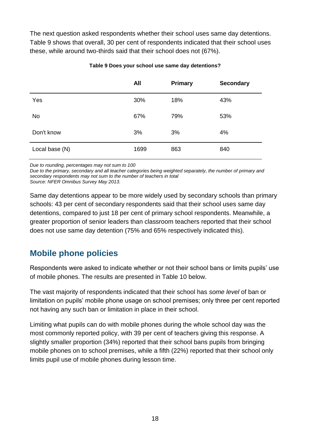The next question asked respondents whether their school uses same day detentions. Table 9 shows that overall, 30 per cent of respondents indicated that their school uses these, while around two-thirds said that their school does not (67%).

<span id="page-17-1"></span>

|                | All  | Primary | <b>Secondary</b> |
|----------------|------|---------|------------------|
| Yes            | 30%  | 18%     | 43%              |
| No             | 67%  | 79%     | 53%              |
| Don't know     | 3%   | 3%      | 4%               |
| Local base (N) | 1699 | 863     | 840              |

### **Table 9 Does your school use same day detentions?**

*Due to rounding, percentages may not sum to 100*

*Due to the primary, secondary and all teacher categories being weighted separately, the number of primary and secondary respondents may not sum to the number of teachers in total Source: NFER Omnibus Survey May 2013.*

Same day detentions appear to be more widely used by secondary schools than primary schools: 43 per cent of secondary respondents said that their school uses same day detentions, compared to just 18 per cent of primary school respondents. Meanwhile, a greater proportion of senior leaders than classroom teachers reported that their school does not use same day detention (75% and 65% respectively indicated this).

### <span id="page-17-0"></span>**Mobile phone policies**

Respondents were asked to indicate whether or not their school bans or limits pupils' use of mobile phones. The results are presented in Table 10 below.

The vast majority of respondents indicated that their school has *some level* of ban or limitation on pupils' mobile phone usage on school premises; only three per cent reported not having any such ban or limitation in place in their school.

Limiting what pupils can do with mobile phones during the whole school day was the most commonly reported policy, with 39 per cent of teachers giving this response. A slightly smaller proportion (34%) reported that their school bans pupils from bringing mobile phones on to school premises, while a fifth (22%) reported that their school only limits pupil use of mobile phones during lesson time.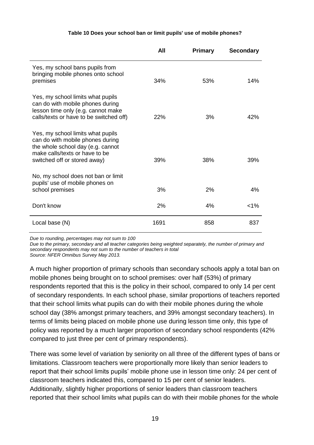### **Table 10 Does your school ban or limit pupils' use of mobile phones?**

<span id="page-18-0"></span>

|                                                                                                                                                                              | All  | <b>Primary</b> | <b>Secondary</b> |
|------------------------------------------------------------------------------------------------------------------------------------------------------------------------------|------|----------------|------------------|
| Yes, my school bans pupils from<br>bringing mobile phones onto school<br>premises                                                                                            | 34%  | 53%            | 14%              |
| Yes, my school limits what pupils<br>can do with mobile phones during<br>lesson time only (e.g. cannot make<br>calls/texts or have to be switched off)                       | 22%  | 3%             | 42%              |
| Yes, my school limits what pupils<br>can do with mobile phones during<br>the whole school day (e.g. cannot<br>make calls/texts or have to be<br>switched off or stored away) | 39%  | 38%            | 39%              |
| No, my school does not ban or limit<br>pupils' use of mobile phones on<br>school premises                                                                                    | 3%   | 2%             | 4%               |
| Don't know                                                                                                                                                                   | 2%   | 4%             | $< 1\%$          |
| Local base (N)                                                                                                                                                               | 1691 | 858            | 837              |

*Due to rounding, percentages may not sum to 100*

*Due to the primary, secondary and all teacher categories being weighted separately, the number of primary and secondary respondents may not sum to the number of teachers in total Source: NFER Omnibus Survey May 2013.*

A much higher proportion of primary schools than secondary schools apply a total ban on mobile phones being brought on to school premises: over half (53%) of primary respondents reported that this is the policy in their school, compared to only 14 per cent of secondary respondents. In each school phase, similar proportions of teachers reported that their school limits what pupils can do with their mobile phones during the whole school day (38% amongst primary teachers, and 39% amongst secondary teachers). In terms of limits being placed on mobile phone use during lesson time only, this type of policy was reported by a much larger proportion of secondary school respondents (42% compared to just three per cent of primary respondents).

There was some level of variation by seniority on all three of the different types of bans or limitations. Classroom teachers were proportionally more likely than senior leaders to report that their school limits pupils' mobile phone use in lesson time only: 24 per cent of classroom teachers indicated this, compared to 15 per cent of senior leaders. Additionally, slightly higher proportions of senior leaders than classroom teachers reported that their school limits what pupils can do with their mobile phones for the whole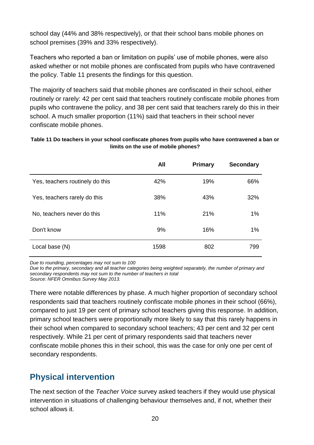school day (44% and 38% respectively), or that their school bans mobile phones on school premises (39% and 33% respectively).

Teachers who reported a ban or limitation on pupils' use of mobile phones, were also asked whether or not mobile phones are confiscated from pupils who have contravened the policy. Table 11 presents the findings for this question.

The majority of teachers said that mobile phones are confiscated in their school, either routinely or rarely: 42 per cent said that teachers routinely confiscate mobile phones from pupils who contravene the policy, and 38 per cent said that teachers rarely do this in their school. A much smaller proportion (11%) said that teachers in their school never confiscate mobile phones.

### <span id="page-19-1"></span>**Table 11 Do teachers in your school confiscate phones from pupils who have contravened a ban or limits on the use of mobile phones?**

|                                 | All  | <b>Primary</b> | <b>Secondary</b> |
|---------------------------------|------|----------------|------------------|
| Yes, teachers routinely do this | 42%  | 19%            | 66%              |
| Yes, teachers rarely do this    | 38%  | 43%            | 32%              |
| No, teachers never do this      | 11%  | 21%            | 1%               |
| Don't know                      | 9%   | 16%            | 1%               |
| Local base (N)                  | 1598 | 802            | 799              |

*Due to rounding, percentages may not sum to 100*

*Due to the primary, secondary and all teacher categories being weighted separately, the number of primary and secondary respondents may not sum to the number of teachers in total*

*Source: NFER Omnibus Survey May 2013.*

There were notable differences by phase. A much higher proportion of secondary school respondents said that teachers routinely confiscate mobile phones in their school (66%), compared to just 19 per cent of primary school teachers giving this response. In addition, primary school teachers were proportionally more likely to say that this rarely happens in their school when compared to secondary school teachers; 43 per cent and 32 per cent respectively. While 21 per cent of primary respondents said that teachers never confiscate mobile phones this in their school, this was the case for only one per cent of secondary respondents.

### <span id="page-19-0"></span>**Physical intervention**

The next section of the *Teacher Voice* survey asked teachers if they would use physical intervention in situations of challenging behaviour themselves and, if not, whether their school allows it.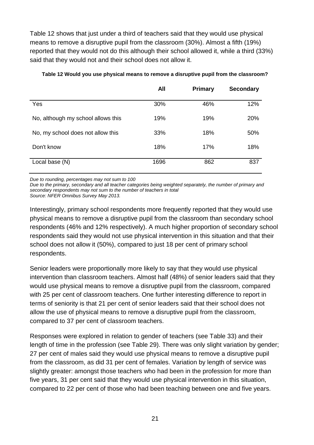Table 12 shows that just under a third of teachers said that they would use physical means to remove a disruptive pupil from the classroom (30%). Almost a fifth (19%) reported that they would not do this although their school allowed it, while a third (33%) said that they would not and their school does not allow it.

|                                    | All  | <b>Primary</b> | <b>Secondary</b> |
|------------------------------------|------|----------------|------------------|
| Yes                                | 30%  | 46%            | 12%              |
| No, although my school allows this | 19%  | 19%            | 20%              |
| No, my school does not allow this  | 33%  | 18%            | 50%              |
| Don't know                         | 18%  | 17%            | 18%              |
| Local base (N)                     | 1696 | 862            | 837              |

### <span id="page-20-0"></span>**Table 12 Would you use physical means to remove a disruptive pupil from the classroom?**

*Due to rounding, percentages may not sum to 100*

*Due to the primary, secondary and all teacher categories being weighted separately, the number of primary and secondary respondents may not sum to the number of teachers in total*

*Source: NFER Omnibus Survey May 2013.*

Interestingly, primary school respondents more frequently reported that they would use physical means to remove a disruptive pupil from the classroom than secondary school respondents (46% and 12% respectively). A much higher proportion of secondary school respondents said they would not use physical intervention in this situation and that their school does not allow it (50%), compared to just 18 per cent of primary school respondents.

Senior leaders were proportionally more likely to say that they would use physical intervention than classroom teachers. Almost half (48%) of senior leaders said that they would use physical means to remove a disruptive pupil from the classroom, compared with 25 per cent of classroom teachers. One further interesting difference to report in terms of seniority is that 21 per cent of senior leaders said that their school does not allow the use of physical means to remove a disruptive pupil from the classroom, compared to 37 per cent of classroom teachers.

Responses were explored in relation to gender of teachers (see Table 33) and their length of time in the profession (see Table 29). There was only slight variation by gender; 27 per cent of males said they would use physical means to remove a disruptive pupil from the classroom, as did 31 per cent of females. Variation by length of service was slightly greater: amongst those teachers who had been in the profession for more than five years, 31 per cent said that they would use physical intervention in this situation, compared to 22 per cent of those who had been teaching between one and five years.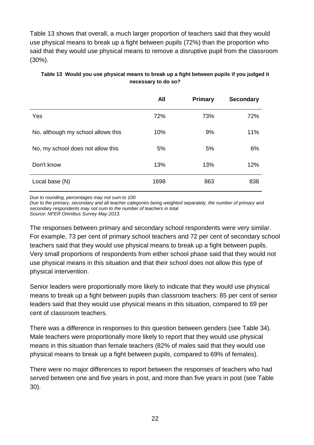Table 13 shows that overall, a much larger proportion of teachers said that they would use physical means to break up a fight between pupils (72%) than the proportion who said that they would use physical means to remove a disruptive pupil from the classroom (30%).

|                                    | All  | <b>Primary</b> | <b>Secondary</b> |
|------------------------------------|------|----------------|------------------|
| Yes                                | 72%  | 73%            | 72%              |
| No, although my school allows this | 10%  | 9%             | 11%              |
| No, my school does not allow this  | 5%   | 5%             | 6%               |
| Don't know                         | 13%  | 13%            | 12%              |
| Local base (N)                     | 1698 | 863            | 838              |

### <span id="page-21-0"></span>**Table 13 Would you use physical means to break up a fight between pupils if you judged it necessary to do so?**

*Due to rounding, percentages may not sum to 100*

*Due to the primary, secondary and all teacher categories being weighted separately, the number of primary and secondary respondents may not sum to the number of teachers in total Source: NFER Omnibus Survey May 2013.*

The responses between primary and secondary school respondents were very similar. For example, 73 per cent of primary school teachers and 72 per cent of secondary school teachers said that they would use physical means to break up a fight between pupils. Very small proportions of respondents from either school phase said that they would not use physical means in this situation and that their school does not allow this type of physical intervention.

Senior leaders were proportionally more likely to indicate that they would use physical means to break up a fight between pupils than classroom teachers: 85 per cent of senior leaders said that they would use physical means in this situation, compared to 69 per cent of classroom teachers.

There was a difference in responses to this question between genders (see Table 34). Male teachers were proportionally more likely to report that they would use physical means in this situation than female teachers (82% of males said that they would use physical means to break up a fight between pupils, compared to 69% of females).

There were no major differences to report between the responses of teachers who had served between one and five years in post, and more than five years in post (see Table 30).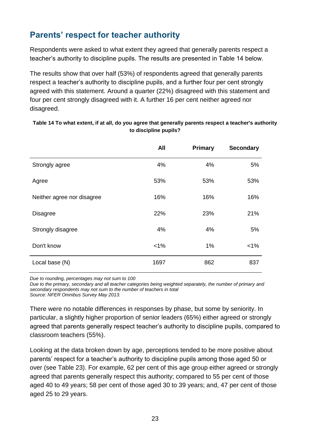# <span id="page-22-0"></span>**Parents' respect for teacher authority**

Respondents were asked to what extent they agreed that generally parents respect a teacher's authority to discipline pupils. The results are presented in Table 14 below.

The results show that over half (53%) of respondents agreed that generally parents respect a teacher's authority to discipline pupils, and a further four per cent strongly agreed with this statement. Around a quarter (22%) disagreed with this statement and four per cent strongly disagreed with it. A further 16 per cent neither agreed nor disagreed.

|                            | All   | Primary | <b>Secondary</b> |
|----------------------------|-------|---------|------------------|
| Strongly agree             | 4%    | 4%      | 5%               |
| Agree                      | 53%   | 53%     | 53%              |
| Neither agree nor disagree | 16%   | 16%     | 16%              |
| <b>Disagree</b>            | 22%   | 23%     | 21%              |
| Strongly disagree          | 4%    | 4%      | 5%               |
| Don't know                 | $1\%$ | 1%      | $1\%$            |
| Local base (N)             | 1697  | 862     | 837              |

### <span id="page-22-1"></span>**Table 14 To what extent, if at all, do you agree that generally parents respect a teacher's authority to discipline pupils?**

*Due to rounding, percentages may not sum to 100*

*Due to the primary, secondary and all teacher categories being weighted separately, the number of primary and secondary respondents may not sum to the number of teachers in total Source: NFER Omnibus Survey May 2013.*

There were no notable differences in responses by phase, but some by seniority. In particular, a slightly higher proportion of senior leaders (65%) either agreed or strongly agreed that parents generally respect teacher's authority to discipline pupils, compared to classroom teachers (55%).

Looking at the data broken down by age, perceptions tended to be more positive about parents' respect for a teacher's authority to discipline pupils among those aged 50 or over (see Table 23). For example, 62 per cent of this age group either agreed or strongly agreed that parents generally respect this authority; compared to 55 per cent of those aged 40 to 49 years; 58 per cent of those aged 30 to 39 years; and, 47 per cent of those aged 25 to 29 years.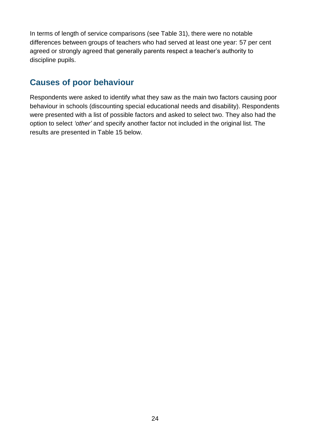In terms of length of service comparisons (see Table 31), there were no notable differences between groups of teachers who had served at least one year: 57 per cent agreed or strongly agreed that generally parents respect a teacher's authority to discipline pupils.

### <span id="page-23-0"></span>**Causes of poor behaviour**

Respondents were asked to identify what they saw as the main two factors causing poor behaviour in schools (discounting special educational needs and disability). Respondents were presented with a list of possible factors and asked to select two. They also had the option to select *'other'* and specify another factor not included in the original list. The results are presented in Table 15 below.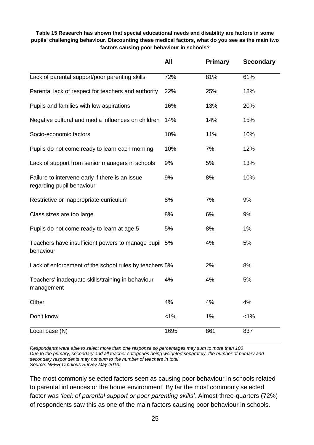### <span id="page-24-0"></span>**Table 15 Research has shown that special educational needs and disability are factors in some pupils' challenging behaviour. Discounting these medical factors, what do you see as the main two factors causing poor behaviour in schools?**

|                                                                              | All     | <b>Primary</b> | <b>Secondary</b> |
|------------------------------------------------------------------------------|---------|----------------|------------------|
| Lack of parental support/poor parenting skills                               | 72%     | 81%            | 61%              |
| Parental lack of respect for teachers and authority                          | 22%     | 25%            | 18%              |
| Pupils and families with low aspirations                                     | 16%     | 13%            | 20%              |
| Negative cultural and media influences on children                           | 14%     | 14%            | 15%              |
| Socio-economic factors                                                       | 10%     | 11%            | 10%              |
| Pupils do not come ready to learn each morning                               | 10%     | 7%             | 12%              |
| Lack of support from senior managers in schools                              | 9%      | 5%             | 13%              |
| Failure to intervene early if there is an issue<br>regarding pupil behaviour | 9%      | 8%             | 10%              |
| Restrictive or inappropriate curriculum                                      | 8%      | 7%             | 9%               |
| Class sizes are too large                                                    | 8%      | 6%             | 9%               |
| Pupils do not come ready to learn at age 5                                   | 5%      | 8%             | 1%               |
| Teachers have insufficient powers to manage pupil 5%<br>behaviour            |         | 4%             | 5%               |
| Lack of enforcement of the school rules by teachers 5%                       |         | 2%             | 8%               |
| Teachers' inadequate skills/training in behaviour<br>management              | 4%      | 4%             | 5%               |
| Other                                                                        | 4%      | 4%             | 4%               |
| Don't know                                                                   | $< 1\%$ | 1%             | $< 1\%$          |
| Local base (N)                                                               | 1695    | 861            | 837              |

*Respondents were able to select more than one response so percentages may sum to more than 100 Due to the primary, secondary and all teacher categories being weighted separately, the number of primary and secondary respondents may not sum to the number of teachers in total Source: NFER Omnibus Survey May 2013.*

The most commonly selected factors seen as causing poor behaviour in schools related to parental influences or the home environment. By far the most commonly selected factor was *'lack of parental support or poor parenting skills'.* Almost three-quarters (72%) of respondents saw this as one of the main factors causing poor behaviour in schools.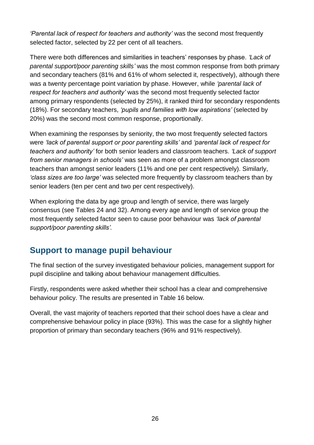*'Parental lack of respect for teachers and authority'* was the second most frequently selected factor, selected by 22 per cent of all teachers.

There were both differences and similarities in teachers' responses by phase. *'Lack of parental support/poor parenting skills'* was the most common response from both primary and secondary teachers (81% and 61% of whom selected it, respectively), although there was a twenty percentage point variation by phase. However, while *'parental lack of respect for teachers and authority'* was the second most frequently selected factor among primary respondents (selected by 25%), it ranked third for secondary respondents (18%). For secondary teachers, *'pupils and families with low aspirations'* (selected by 20%) was the second most common response, proportionally.

When examining the responses by seniority, the two most frequently selected factors were *'lack of parental support or poor parenting skills'* and *'parental lack of respect for teachers and authority'* for both senior leaders and classroom teachers. *'Lack of support from senior managers in schools'* was seen as more of a problem amongst classroom teachers than amongst senior leaders (11% and one per cent respectively). Similarly, *'class sizes are too large'* was selected more frequently by classroom teachers than by senior leaders (ten per cent and two per cent respectively).

When exploring the data by age group and length of service, there was largely consensus (see Tables 24 and 32). Among every age and length of service group the most frequently selected factor seen to cause poor behaviour was *'lack of parental support/poor parenting skills'.*

### <span id="page-25-0"></span>**Support to manage pupil behaviour**

The final section of the survey investigated behaviour policies, management support for pupil discipline and talking about behaviour management difficulties.

Firstly, respondents were asked whether their school has a clear and comprehensive behaviour policy. The results are presented in Table 16 below.

Overall, the vast majority of teachers reported that their school does have a clear and comprehensive behaviour policy in place (93%). This was the case for a slightly higher proportion of primary than secondary teachers (96% and 91% respectively).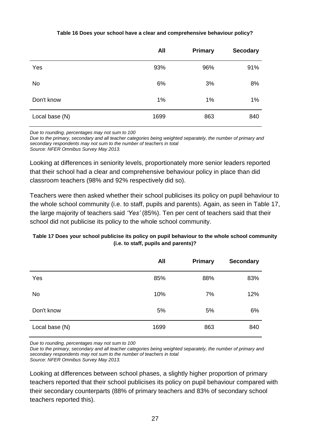### **Table 16 Does your school have a clear and comprehensive behaviour policy?**

<span id="page-26-0"></span>

|                | <b>All</b> | <b>Primary</b> | <b>Secodary</b> |
|----------------|------------|----------------|-----------------|
| Yes            | 93%        | 96%            | 91%             |
| No             | 6%         | 3%             | 8%              |
| Don't know     | 1%         | 1%             | 1%              |
| Local base (N) | 1699       | 863            | 840             |

*Due to rounding, percentages may not sum to 100*

*Due to the primary, secondary and all teacher categories being weighted separately, the number of primary and secondary respondents may not sum to the number of teachers in total Source: NFER Omnibus Survey May 2013.*

Looking at differences in seniority levels, proportionately more senior leaders reported that their school had a clear and comprehensive behaviour policy in place than did classroom teachers (98% and 92% respectively did so).

Teachers were then asked whether their school publicises its policy on pupil behaviour to the whole school community (i.e. to staff, pupils and parents). Again, as seen in Table 17, the large majority of teachers said *'Yes'* (85%). Ten per cent of teachers said that their school did not publicise its policy to the whole school community.

### <span id="page-26-1"></span>**Table 17 Does your school publicise its policy on pupil behaviour to the whole school community (i.e. to staff, pupils and parents)?**

|                | <b>All</b> | Primary | <b>Secondary</b> |
|----------------|------------|---------|------------------|
| Yes            | 85%        | 88%     | 83%              |
| <b>No</b>      | 10%        | 7%      | 12%              |
| Don't know     | 5%         | 5%      | 6%               |
| Local base (N) | 1699       | 863     | 840              |

*Due to rounding, percentages may not sum to 100*

*Due to the primary, secondary and all teacher categories being weighted separately, the number of primary and secondary respondents may not sum to the number of teachers in total Source: NFER Omnibus Survey May 2013.*

Looking at differences between school phases, a slightly higher proportion of primary teachers reported that their school publicises its policy on pupil behaviour compared with their secondary counterparts (88% of primary teachers and 83% of secondary school teachers reported this).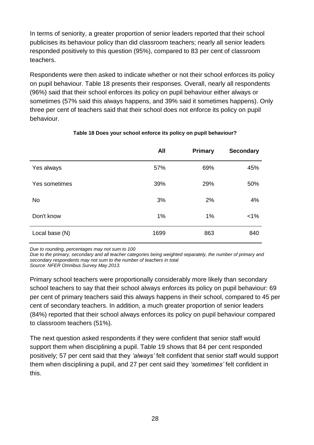In terms of seniority, a greater proportion of senior leaders reported that their school publicises its behaviour policy than did classroom teachers; nearly all senior leaders responded positively to this question (95%), compared to 83 per cent of classroom teachers.

Respondents were then asked to indicate whether or not their school enforces its policy on pupil behaviour. Table 18 presents their responses. Overall, nearly all respondents (96%) said that their school enforces its policy on pupil behaviour either always or sometimes (57% said this always happens, and 39% said it sometimes happens). Only three per cent of teachers said that their school does not enforce its policy on pupil behaviour.

<span id="page-27-0"></span>

|                | <b>All</b> | <b>Primary</b> | <b>Secondary</b> |
|----------------|------------|----------------|------------------|
| Yes always     | 57%        | 69%            | 45%              |
| Yes sometimes  | 39%        | 29%            | 50%              |
| <b>No</b>      | 3%         | 2%             | 4%               |
| Don't know     | 1%         | 1%             | $< 1\%$          |
| Local base (N) | 1699       | 863            | 840              |

### **Table 18 Does your school enforce its policy on pupil behaviour?**

*Due to rounding, percentages may not sum to 100*

*Due to the primary, secondary and all teacher categories being weighted separately, the number of primary and secondary respondents may not sum to the number of teachers in total Source: NFER Omnibus Survey May 2013.*

Primary school teachers were proportionally considerably more likely than secondary school teachers to say that their school always enforces its policy on pupil behaviour: 69 per cent of primary teachers said this always happens in their school, compared to 45 per cent of secondary teachers. In addition, a much greater proportion of senior leaders (84%) reported that their school always enforces its policy on pupil behaviour compared to classroom teachers (51%).

The next question asked respondents if they were confident that senior staff would support them when disciplining a pupil. Table 19 shows that 84 per cent responded positively; 57 per cent said that they *'always'* felt confident that senior staff would support them when disciplining a pupil, and 27 per cent said they *'sometimes'* felt confident in this.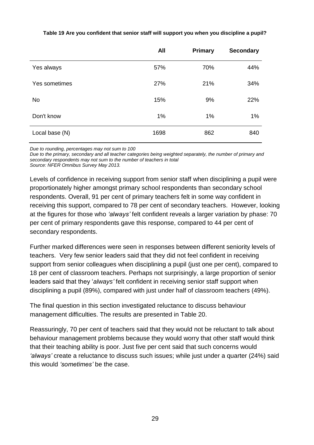|                | <b>All</b> | Primary | <b>Secondary</b> |
|----------------|------------|---------|------------------|
| Yes always     | 57%        | 70%     | 44%              |
| Yes sometimes  | 27%        | 21%     | 34%              |
| <b>No</b>      | 15%        | 9%      | 22%              |
| Don't know     | 1%         | 1%      | 1%               |
| Local base (N) | 1698       | 862     | 840              |

#### <span id="page-28-0"></span>**Table 19 Are you confident that senior staff will support you when you discipline a pupil?**

*Due to rounding, percentages may not sum to 100*

*Due to the primary, secondary and all teacher categories being weighted separately, the number of primary and secondary respondents may not sum to the number of teachers in total Source: NFER Omnibus Survey May 2013.*

Levels of confidence in receiving support from senior staff when disciplining a pupil were proportionately higher amongst primary school respondents than secondary school respondents. Overall, 91 per cent of primary teachers felt in some way confident in receiving this support, compared to 78 per cent of secondary teachers. However, looking at the figures for those who *'always'* felt confident reveals a larger variation by phase: 70 per cent of primary respondents gave this response, compared to 44 per cent of secondary respondents.

Further marked differences were seen in responses between different seniority levels of teachers. Very few senior leaders said that they did not feel confident in receiving support from senior colleagues when disciplining a pupil (just one per cent), compared to 18 per cent of classroom teachers. Perhaps not surprisingly, a large proportion of senior leaders said that they '*always'* felt confident in receiving senior staff support when disciplining a pupil (89%), compared with just under half of classroom teachers (49%).

The final question in this section investigated reluctance to discuss behaviour management difficulties. The results are presented in Table 20.

Reassuringly, 70 per cent of teachers said that they would not be reluctant to talk about behaviour management problems because they would worry that other staff would think that their teaching ability is poor. Just five per cent said that such concerns would *'always'* create a reluctance to discuss such issues; while just under a quarter (24%) said this would *'sometimes'* be the case.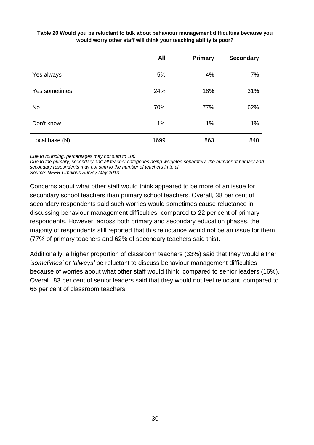### <span id="page-29-0"></span>**Table 20 Would you be reluctant to talk about behaviour management difficulties because you would worry other staff will think your teaching ability is poor?**

|                | <b>All</b> | <b>Primary</b> | <b>Secondary</b> |
|----------------|------------|----------------|------------------|
| Yes always     | 5%         | 4%             | 7%               |
| Yes sometimes  | 24%        | 18%            | 31%              |
| <b>No</b>      | 70%        | 77%            | 62%              |
| Don't know     | 1%         | 1%             | 1%               |
| Local base (N) | 1699       | 863            | 840              |

*Due to rounding, percentages may not sum to 100*

*Due to the primary, secondary and all teacher categories being weighted separately, the number of primary and secondary respondents may not sum to the number of teachers in total Source: NFER Omnibus Survey May 2013.*

Concerns about what other staff would think appeared to be more of an issue for secondary school teachers than primary school teachers. Overall, 38 per cent of secondary respondents said such worries would sometimes cause reluctance in discussing behaviour management difficulties, compared to 22 per cent of primary respondents. However, across both primary and secondary education phases, the majority of respondents still reported that this reluctance would not be an issue for them (77% of primary teachers and 62% of secondary teachers said this).

Additionally, a higher proportion of classroom teachers (33%) said that they would either *'sometimes'* or *'always'* be reluctant to discuss behaviour management difficulties because of worries about what other staff would think, compared to senior leaders (16%). Overall, 83 per cent of senior leaders said that they would not feel reluctant, compared to 66 per cent of classroom teachers.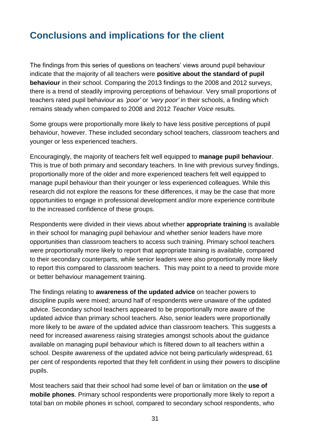# <span id="page-30-0"></span>**Conclusions and implications for the client**

The findings from this series of questions on teachers' views around pupil behaviour indicate that the majority of all teachers were **positive about the standard of pupil behaviour** in their school. Comparing the 2013 findings to the 2008 and 2012 surveys, there is a trend of steadily improving perceptions of behaviour. Very small proportions of teachers rated pupil behaviour as *'poor'* or *'very poor'* in their schools, a finding which remains steady when compared to 2008 and 2012 *Teacher Voice* results.

Some groups were proportionally more likely to have less positive perceptions of pupil behaviour, however. These included secondary school teachers, classroom teachers and younger or less experienced teachers.

Encouragingly, the majority of teachers felt well equipped to **manage pupil behaviour**. This is true of both primary and secondary teachers. In line with previous survey findings, proportionally more of the older and more experienced teachers felt well equipped to manage pupil behaviour than their younger or less experienced colleagues. While this research did not explore the reasons for these differences, it may be the case that more opportunities to engage in professional development and/or more experience contribute to the increased confidence of these groups.

Respondents were divided in their views about whether **appropriate training** is available in their school for managing pupil behaviour and whether senior leaders have more opportunities than classroom teachers to access such training. Primary school teachers were proportionally more likely to report that appropriate training is available, compared to their secondary counterparts, while senior leaders were also proportionally more likely to report this compared to classroom teachers. This may point to a need to provide more or better behaviour management training.

The findings relating to **awareness of the updated advice** on teacher powers to discipline pupils were mixed; around half of respondents were unaware of the updated advice. Secondary school teachers appeared to be proportionally more aware of the updated advice than primary school teachers. Also, senior leaders were proportionally more likely to be aware of the updated advice than classroom teachers. This suggests a need for increased awareness raising strategies amongst schools about the guidance available on managing pupil behaviour which is filtered down to all teachers within a school. Despite awareness of the updated advice not being particularly widespread, 61 per cent of respondents reported that they felt confident in using their powers to discipline pupils.

Most teachers said that their school had some level of ban or limitation on the **use of mobile phones**. Primary school respondents were proportionally more likely to report a total ban on mobile phones in school, compared to secondary school respondents, who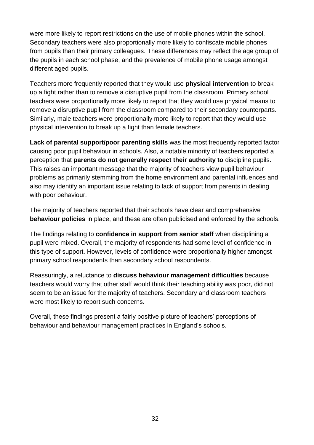were more likely to report restrictions on the use of mobile phones within the school. Secondary teachers were also proportionally more likely to confiscate mobile phones from pupils than their primary colleagues. These differences may reflect the age group of the pupils in each school phase, and the prevalence of mobile phone usage amongst different aged pupils.

Teachers more frequently reported that they would use **physical intervention** to break up a fight rather than to remove a disruptive pupil from the classroom. Primary school teachers were proportionally more likely to report that they would use physical means to remove a disruptive pupil from the classroom compared to their secondary counterparts. Similarly, male teachers were proportionally more likely to report that they would use physical intervention to break up a fight than female teachers.

**Lack of parental support/poor parenting skills** was the most frequently reported factor causing poor pupil behaviour in schools. Also, a notable minority of teachers reported a perception that **parents do not generally respect their authority to** discipline pupils. This raises an important message that the majority of teachers view pupil behaviour problems as primarily stemming from the home environment and parental influences and also may identify an important issue relating to lack of support from parents in dealing with poor behaviour.

The majority of teachers reported that their schools have clear and comprehensive **behaviour policies** in place, and these are often publicised and enforced by the schools.

The findings relating to **confidence in support from senior staff** when disciplining a pupil were mixed. Overall, the majority of respondents had some level of confidence in this type of support. However, levels of confidence were proportionally higher amongst primary school respondents than secondary school respondents.

Reassuringly, a reluctance to **discuss behaviour management difficulties** because teachers would worry that other staff would think their teaching ability was poor, did not seem to be an issue for the majority of teachers. Secondary and classroom teachers were most likely to report such concerns.

Overall, these findings present a fairly positive picture of teachers' perceptions of behaviour and behaviour management practices in England's schools.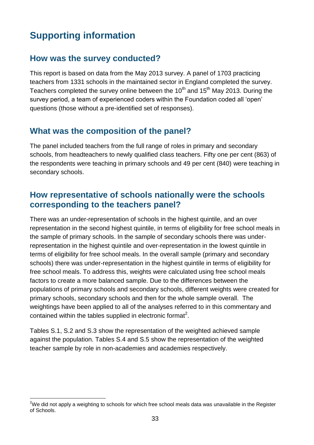# <span id="page-32-0"></span>**Supporting information**

### **How was the survey conducted?**

This report is based on data from the May 2013 survey. A panel of 1703 practicing teachers from 1331 schools in the maintained sector in England completed the survey. Teachers completed the survey online between the  $10<sup>th</sup>$  and  $15<sup>th</sup>$  May 2013. During the survey period, a team of experienced coders within the Foundation coded all 'open' questions (those without a pre-identified set of responses).

### **What was the composition of the panel?**

The panel included teachers from the full range of roles in primary and secondary schools, from headteachers to newly qualified class teachers. Fifty one per cent (863) of the respondents were teaching in primary schools and 49 per cent (840) were teaching in secondary schools.

### **How representative of schools nationally were the schools corresponding to the teachers panel?**

There was an under-representation of schools in the highest quintile, and an over representation in the second highest quintile, in terms of eligibility for free school meals in the sample of primary schools. In the sample of secondary schools there was underrepresentation in the highest quintile and over-representation in the lowest quintile in terms of eligibility for free school meals. In the overall sample (primary and secondary schools) there was under-representation in the highest quintile in terms of eligibility for free school meals. To address this, weights were calculated using free school meals factors to create a more balanced sample. Due to the differences between the populations of primary schools and secondary schools, different weights were created for primary schools, secondary schools and then for the whole sample overall. The weightings have been applied to all of the analyses referred to in this commentary and contained within the tables supplied in electronic format<sup>2</sup>.

Tables S.1, S.2 and S.3 show the representation of the weighted achieved sample against the population. Tables S.4 and S.5 show the representation of the weighted teacher sample by role in non-academies and academies respectively.

 $\overline{a}$ <sup>2</sup>We did not apply a weighting to schools for which free school meals data was unavailable in the Register of Schools.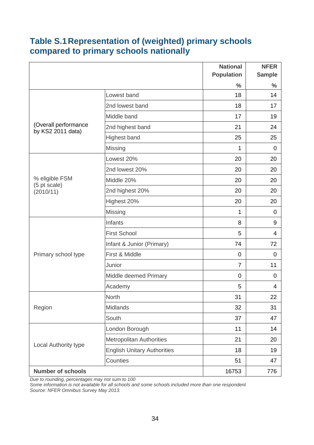# **Table S.1Representation of (weighted) primary schools compared to primary schools nationally**

|                                           |                                    | <b>National</b>   | <b>NFER</b>   |
|-------------------------------------------|------------------------------------|-------------------|---------------|
|                                           |                                    | <b>Population</b> | <b>Sample</b> |
|                                           |                                    | $\frac{0}{0}$     | $\frac{0}{0}$ |
|                                           | Lowest band                        | 18                | 14            |
|                                           | 2nd lowest band                    | 18                | 17            |
|                                           | Middle band                        | 17                | 19            |
| (Overall performance<br>by KS2 2011 data) | 2nd highest band                   | 21                | 24            |
|                                           | <b>Highest band</b>                | 25                | 25            |
|                                           | Missing                            | 1                 | $\mathbf 0$   |
|                                           | Lowest 20%                         | 20                | 20            |
|                                           | 2nd lowest 20%                     | 20                | 20            |
| % eligible FSM                            | Middle 20%                         | 20                | 20            |
| (5 pt scale)<br>(2010/11)                 | 2nd highest 20%                    | 20                | 20            |
|                                           | Highest 20%                        | 20                | 20            |
|                                           | Missing                            | 1                 | $\mathbf 0$   |
|                                           | Infants                            | 8                 | 9             |
|                                           | <b>First School</b>                | 5                 | 4             |
|                                           | Infant & Junior (Primary)          | 74                | 72            |
| Primary school type                       | First & Middle                     | 0                 | 0             |
|                                           | Junior                             | $\overline{7}$    | 11            |
|                                           | Middle deemed Primary              | 0                 | 0             |
|                                           | Academy                            | 5                 | 4             |
|                                           | <b>North</b>                       | 31                | 22            |
| Region                                    | Midlands                           | 32                | 31            |
|                                           | South                              | 37                | 47            |
|                                           | London Borough                     | 11                | 14            |
|                                           | <b>Metropolitan Authorities</b>    | 21                | 20            |
| Local Authority type                      | <b>English Unitary Authorities</b> | 18                | 19            |
|                                           | Counties                           | 51                | 47            |
| <b>Number of schools</b>                  |                                    | 16753             | 776           |

*Due to rounding, percentages may not sum to 100*

*Some information is not available for all schools and some schools included more than one respondent Source: NFER Omnibus Survey May 2013.*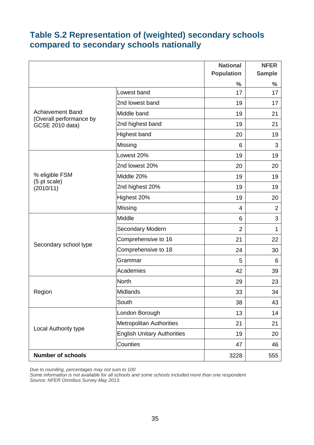# **Table S.2 Representation of (weighted) secondary schools compared to secondary schools nationally**

|                                                    |                                    | <b>National</b>   | <b>NFER</b>    |
|----------------------------------------------------|------------------------------------|-------------------|----------------|
|                                                    |                                    | <b>Population</b> | <b>Sample</b>  |
|                                                    |                                    | $\frac{0}{0}$     | $\frac{0}{0}$  |
|                                                    | Lowest band                        | 17                | 17             |
|                                                    | 2nd lowest band                    | 19                | 17             |
| <b>Achievement Band</b><br>(Overall performance by | Middle band                        | 19                | 21             |
| <b>GCSE 2010 data)</b>                             | 2nd highest band                   | 19                | 21             |
|                                                    | <b>Highest band</b>                | 20                | 19             |
|                                                    | Missing                            | 6                 | 3              |
|                                                    | Lowest 20%                         | 19                | 19             |
|                                                    | 2nd lowest 20%                     | 20                | 20             |
| % eligible FSM<br>(5 pt scale)                     | Middle 20%                         | 19                | 19             |
| (2010/11)                                          | 2nd highest 20%                    | 19                | 19             |
|                                                    | Highest 20%                        | 19                | 20             |
|                                                    | Missing                            | 4                 | $\overline{2}$ |
|                                                    | Middle                             | 6                 | $\mathsf 3$    |
|                                                    | Secondary Modern                   | $\overline{2}$    | 1              |
|                                                    | Comprehensive to 16                | 21                | 22             |
| Secondary school type                              | Comprehensive to 18                | 24                | 30             |
|                                                    | Grammar                            | 5                 | 6              |
|                                                    | Academies                          | 42                | 39             |
|                                                    | <b>North</b>                       | 29                | 23             |
| Region                                             | Midlands                           | 33                | 34             |
|                                                    | South                              | 38                | 43             |
|                                                    | London Borough                     | 13                | 14             |
|                                                    | <b>Metropolitan Authorities</b>    | 21                | 21             |
| Local Authority type                               | <b>English Unitary Authorities</b> | 19                | 20             |
|                                                    | Counties                           | 47                | 46             |
| <b>Number of schools</b>                           |                                    | 3228              | 555            |

*Due to rounding, percentages may not sum to 100*

*Some information is not available for all schools and some schools included more than one respondent Source: NFER Omnibus Survey May 2013.*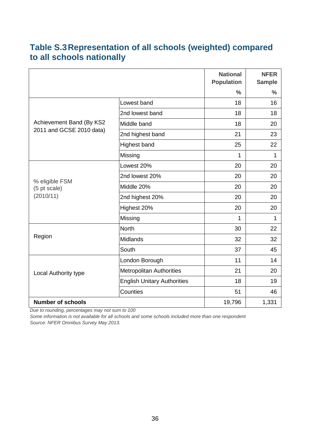# **Table S.3Representation of all schools (weighted) compared to all schools nationally**

|                                |                                    | <b>National</b><br><b>Population</b> | <b>NFER</b><br><b>Sample</b> |
|--------------------------------|------------------------------------|--------------------------------------|------------------------------|
|                                |                                    | $\frac{0}{0}$                        | $\frac{0}{0}$                |
|                                | Lowest band                        | 18                                   | 16                           |
|                                | 2nd lowest band                    | 18                                   | 18                           |
| Achievement Band (By KS2       | Middle band                        | 18                                   | 20                           |
| 2011 and GCSE 2010 data)       | 2nd highest band                   | 21                                   | 23                           |
|                                | Highest band                       | 25                                   | 22                           |
|                                | Missing                            | 1                                    | 1                            |
|                                | Lowest 20%                         | 20                                   | 20                           |
|                                | 2nd lowest 20%                     | 20                                   | 20                           |
| % eligible FSM<br>(5 pt scale) | Middle 20%                         | 20                                   | 20                           |
| (2010/11)                      | 2nd highest 20%                    | 20                                   | 20                           |
|                                | Highest 20%                        | 20                                   | 20                           |
|                                | Missing                            | 1                                    | $\mathbf{1}$                 |
|                                | <b>North</b>                       | 30                                   | 22                           |
| Region                         | Midlands                           | 32                                   | 32                           |
|                                | South                              | 37                                   | 45                           |
|                                | London Borough                     | 11                                   | 14                           |
| Local Authority type           | <b>Metropolitan Authorities</b>    | 21                                   | 20                           |
|                                | <b>English Unitary Authorities</b> | 18                                   | 19                           |
|                                | Counties                           | 51                                   | 46                           |
| <b>Number of schools</b>       |                                    | 19,796                               | 1,331                        |

*Due to rounding, percentages may not sum to 100*

*Some information is not available for all schools and some schools included more than one respondent Source: NFER Omnibus Survey May 2013.*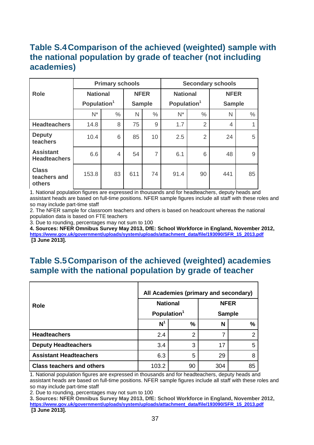# **Table S.4Comparison of the achieved (weighted) sample with the national population by grade of teacher (not including academies)**

|                                         | <b>Primary schools</b>  |                |     |                |                         | <b>Secondary schools</b> |                |    |
|-----------------------------------------|-------------------------|----------------|-----|----------------|-------------------------|--------------------------|----------------|----|
| <b>Role</b>                             | <b>National</b>         |                |     | <b>NFER</b>    | <b>National</b>         |                          | <b>NFER</b>    |    |
|                                         | Population <sup>1</sup> |                |     | <b>Sample</b>  | Population <sup>1</sup> |                          | <b>Sample</b>  |    |
|                                         | $N^*$                   | $\frac{0}{0}$  | N   | $\frac{0}{0}$  | $N^*$                   | $\frac{0}{0}$            | N              | %  |
| <b>Headteachers</b>                     | 14.8                    | 8              | 75  | 9              | 1.7                     | $\overline{2}$           | $\overline{4}$ | 1  |
| <b>Deputy</b><br>teachers               | 10.4                    | 6              | 85  | 10             | 2.5                     | $\overline{2}$           | 24             | 5  |
| <b>Assistant</b><br><b>Headteachers</b> | 6.6                     | $\overline{4}$ | 54  | $\overline{7}$ | 6.1                     | 6                        | 48             | 9  |
| <b>Class</b><br>teachers and<br>others  | 153.8                   | 83             | 611 | 74             | 91.4                    | 90                       | 441            | 85 |

1. National population figures are expressed in thousands and for headteachers, deputy heads and assistant heads are based on full-time positions. NFER sample figures include all staff with these roles and so may include part-time staff

2. The NFER sample for classroom teachers and others is based on headcount whereas the national population data is based on FTE teachers

3. Due to rounding, percentages may not sum to 100

**4. Sources: NFER Omnibus Survey May 2013, DfE: School Workforce in England, November 2012, [https://www.gov.uk/government/uploads/system/uploads/attachment\\_data/file/193090/SFR\\_15\\_2013.pdf](https://www.gov.uk/government/uploads/system/uploads/attachment_data/file/193090/SFR_15_2013.pdf) [3 June 2013].** 

### **Table S.5Comparison of the achieved (weighted) academies sample with the national population by grade of teacher**

|                                  | All Academies (primary and secondary) |                |               |    |  |  |
|----------------------------------|---------------------------------------|----------------|---------------|----|--|--|
| <b>Role</b>                      | <b>National</b>                       |                | <b>NFER</b>   |    |  |  |
|                                  | Population <sup>1</sup>               |                | <b>Sample</b> |    |  |  |
|                                  | N <sup>1</sup>                        | %              | N             | %  |  |  |
| <b>Headteachers</b>              | 2.4                                   | $\overline{2}$ | 7             | າ  |  |  |
| <b>Deputy Headteachers</b>       | 3.4                                   | 3              | 17            | 5  |  |  |
| <b>Assistant Headteachers</b>    | 6.3                                   | 5              | 29            | 8  |  |  |
| <b>Class teachers and others</b> | 103.2                                 | 90             | 304           | 85 |  |  |

1. National population figures are expressed in thousands and for headteachers, deputy heads and assistant heads are based on full-time positions. NFER sample figures include all staff with these roles and so may include part-time staff

2. Due to rounding, percentages may not sum to 100

**3. Sources: NFER Omnibus Survey May 2013, DfE: School Workforce in England, November 2012, [https://www.gov.uk/government/uploads/system/uploads/attachment\\_data/file/193090/SFR\\_15\\_2013.pdf](https://www.gov.uk/government/uploads/system/uploads/attachment_data/file/193090/SFR_15_2013.pdf) [3 June 2013].**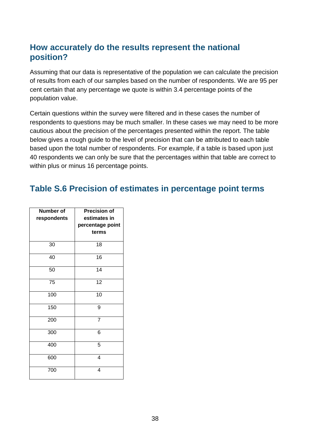### **How accurately do the results represent the national position?**

Assuming that our data is representative of the population we can calculate the precision of results from each of our samples based on the number of respondents. We are 95 per cent certain that any percentage we quote is within 3.4 percentage points of the population value.

Certain questions within the survey were filtered and in these cases the number of respondents to questions may be much smaller. In these cases we may need to be more cautious about the precision of the percentages presented within the report. The table below gives a rough guide to the level of precision that can be attributed to each table based upon the total number of respondents. For example, if a table is based upon just 40 respondents we can only be sure that the percentages within that table are correct to within plus or minus 16 percentage points.

### **Table S.6 Precision of estimates in percentage point terms**

| <b>Number of</b><br>respondents | <b>Precision of</b><br>estimates in<br>percentage point<br>terms |
|---------------------------------|------------------------------------------------------------------|
| 30                              | 18                                                               |
| 40                              | 16                                                               |
| 50                              | 14                                                               |
| 75                              | 12                                                               |
| 100                             | 10                                                               |
| 150                             | 9                                                                |
| 200                             | $\overline{7}$                                                   |
| 300                             | 6                                                                |
| 400                             | 5                                                                |
| 600                             | $\overline{4}$                                                   |
| 700                             | 4                                                                |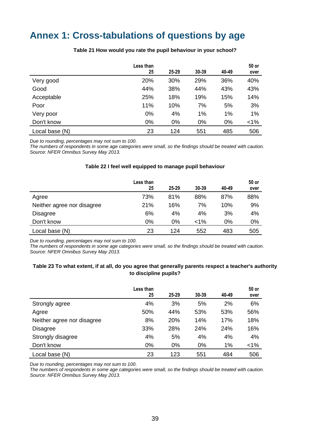# <span id="page-38-0"></span>**Annex 1: Cross-tabulations of questions by age**

<span id="page-38-1"></span>

|                | Less than<br>25 | $25 - 29$ | 30-39 | 40-49 | 50 or<br>over |
|----------------|-----------------|-----------|-------|-------|---------------|
| Very good      | 20%             | 30%       | 29%   | 36%   | 40%           |
| Good           | 44%             | 38%       | 44%   | 43%   | 43%           |
| Acceptable     | 25%             | 18%       | 19%   | 15%   | 14%           |
| Poor           | 11%             | 10%       | 7%    | 5%    | 3%            |
| Very poor      | 0%              | 4%        | 1%    | 1%    | 1%            |
| Don't know     | 0%              | $0\%$     | 0%    | 0%    | $< 1\%$       |
| Local base (N) | 23              | 124       | 551   | 485   | 506           |

#### **Table 21 How would you rate the pupil behaviour in your school?**

*Due to rounding, percentages may not sum to 100.*

*The numbers of respondents in some age categories were small, so the findings should be treated with caution. Source: NFER Omnibus Survey May 2013.*

#### **Table 22 I feel well equipped to manage pupil behaviour**

<span id="page-38-2"></span>

|                            | Less than<br>25 | $25 - 29$ | 30-39   | 40-49 | 50 or<br>over |
|----------------------------|-----------------|-----------|---------|-------|---------------|
| Agree                      | 73%             | 81%       | 88%     | 87%   | 88%           |
| Neither agree nor disagree | 21%             | 16%       | 7%      | 10%   | 9%            |
| Disagree                   | 6%              | 4%        | 4%      | 3%    | 4%            |
| Don't know                 | 0%              | $0\%$     | $< 1\%$ | 0%    | 0%            |
| Local base (N)             | 23              | 124       | 552     | 483   | 505           |

*Due to rounding, percentages may not sum to 100.*

*The numbers of respondents in some age categories were small, so the findings should be treated with caution. Source: NFER Omnibus Survey May 2013.*

### <span id="page-38-3"></span>**Table 23 To what extent, if at all, do you agree that generally parents respect a teacher's authority to discipline pupils?**

|                            | Less than<br>25 | $25 - 29$ | $30 - 39$ | 40-49 | 50 or<br>over |
|----------------------------|-----------------|-----------|-----------|-------|---------------|
| Strongly agree             | 4%              | 3%        | 5%        | 2%    | 6%            |
| Agree                      | 50%             | 44%       | 53%       | 53%   | 56%           |
| Neither agree nor disagree | 8%              | 20%       | 14%       | 17%   | 18%           |
| <b>Disagree</b>            | 33%             | 28%       | 24%       | 24%   | 16%           |
| Strongly disagree          | 4%              | 5%        | 4%        | 4%    | 4%            |
| Don't know                 | 0%              | 0%        | 0%        | 1%    | $< 1\%$       |
| Local base (N)             | 23              | 123       | 551       | 484   | 506           |

*Due to rounding, percentages may not sum to 100.*

*The numbers of respondents in some age categories were small, so the findings should be treated with caution. Source: NFER Omnibus Survey May 2013.*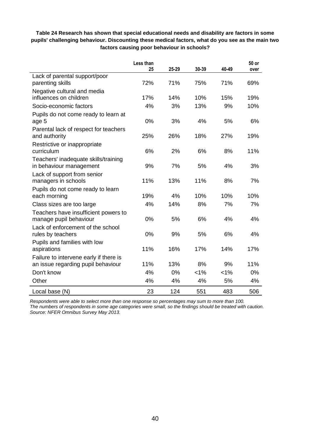<span id="page-39-0"></span>

| Table 24 Research has shown that special educational needs and disability are factors in some     |
|---------------------------------------------------------------------------------------------------|
| pupils' challenging behaviour. Discounting these medical factors, what do you see as the main two |
| factors causing poor behaviour in schools?                                                        |

|                                        | Less than<br>25 | 25-29 | 30-39 | 40-49   | 50 or<br>over |
|----------------------------------------|-----------------|-------|-------|---------|---------------|
| Lack of parental support/poor          |                 |       |       |         |               |
| parenting skills                       | 72%             | 71%   | 75%   | 71%     | 69%           |
| Negative cultural and media            |                 |       |       |         |               |
| influences on children                 | 17%             | 14%   | 10%   | 15%     | 19%           |
| Socio-economic factors                 | 4%              | 3%    | 13%   | 9%      | 10%           |
| Pupils do not come ready to learn at   |                 |       |       |         |               |
| age 5                                  | 0%              | 3%    | 4%    | 5%      | 6%            |
| Parental lack of respect for teachers  |                 |       |       |         |               |
| and authority                          | 25%             | 26%   | 18%   | 27%     | 19%           |
| Restrictive or inappropriate           |                 |       |       |         |               |
| curriculum                             | 6%              | 2%    | 6%    | 8%      | 11%           |
| Teachers' inadequate skills/training   |                 |       |       |         |               |
| in behaviour management                | 9%              | 7%    | 5%    | 4%      | 3%            |
| Lack of support from senior            |                 |       |       |         |               |
| managers in schools                    | 11%             | 13%   | 11%   | 8%      | 7%            |
| Pupils do not come ready to learn      |                 |       |       |         |               |
| each morning                           | 19%             | 4%    | 10%   | 10%     | 10%           |
| Class sizes are too large              | 4%              | 14%   | 8%    | 7%      | 7%            |
| Teachers have insufficient powers to   |                 |       |       |         |               |
| manage pupil behaviour                 | 0%              | 5%    | 6%    | 4%      | 4%            |
| Lack of enforcement of the school      |                 |       |       |         |               |
| rules by teachers                      | 0%              | 9%    | 5%    | 6%      | 4%            |
| Pupils and families with low           |                 |       |       |         |               |
| aspirations                            | 11%             | 16%   | 17%   | 14%     | 17%           |
| Failure to intervene early if there is |                 |       |       |         |               |
| an issue regarding pupil behaviour     | 11%             | 13%   | 8%    | 9%      | 11%           |
| Don't know                             | 4%              | 0%    | 1%    | $< 1\%$ | 0%            |
| Other                                  | 4%              | 4%    | 4%    | 5%      | 4%            |
| Local base (N)                         | 23              | 124   | 551   | 483     | 506           |

*Respondents were able to select more than one response so percentages may sum to more than 100.*

*The numbers of respondents in some age categories were small, so the findings should be treated with caution. Source: NFER Omnibus Survey May 2013.*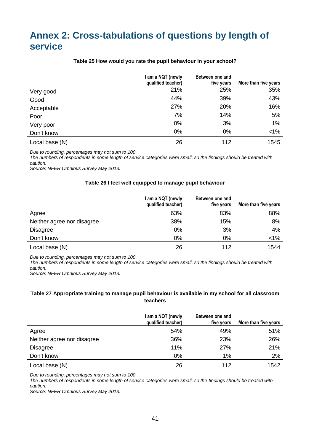# <span id="page-40-0"></span>**Annex 2: Cross-tabulations of questions by length of service**

<span id="page-40-1"></span>

|                | am a NQT (newly<br>qualified teacher) | Between one and<br>five years | More than five years |
|----------------|---------------------------------------|-------------------------------|----------------------|
| Very good      | 21%                                   | 25%                           | 35%                  |
| Good           | 44%                                   | 39%                           | 43%                  |
| Acceptable     | 27%                                   | 20%                           | 16%                  |
| Poor           | 7%                                    | 14%                           | 5%                   |
| Very poor      | 0%                                    | 3%                            | 1%                   |
| Don't know     | 0%                                    | 0%                            | $< 1\%$              |
| Local base (N) | 26                                    | 112                           | 1545                 |

#### **Table 25 How would you rate the pupil behaviour in your school?**

*Due to rounding, percentages may not sum to 100.*

*The numbers of respondents in some length of service categories were small, so the findings should be treated with caution.*

<span id="page-40-2"></span>*Source: NFER Omnibus Survey May 2013.*

#### **Table 26 I feel well equipped to manage pupil behaviour**

|                            | I am a NQT (newly<br>qualified teacher) | Between one and<br>five years | More than five years |
|----------------------------|-----------------------------------------|-------------------------------|----------------------|
| Agree                      | 63%                                     | 83%                           | 88%                  |
| Neither agree nor disagree | 38%                                     | 15%                           | 8%                   |
| <b>Disagree</b>            | 0%                                      | 3%                            | 4%                   |
| Don't know                 | 0%                                      | $0\%$                         | $< 1\%$              |
| Local base (N)             | 26                                      | 112                           | 1544                 |

*Due to rounding, percentages may not sum to 100.*

*The numbers of respondents in some length of service categories were small, so the findings should be treated with caution.*

*Source: NFER Omnibus Survey May 2013.*

#### <span id="page-40-3"></span>**Table 27 Appropriate training to manage pupil behaviour is available in my school for all classroom teachers**

|                            | am a NQT (newly<br>qualified teacher) | Between one and<br>five years | More than five years |
|----------------------------|---------------------------------------|-------------------------------|----------------------|
| Agree                      | 54%                                   | 49%                           | 51%                  |
| Neither agree nor disagree | 36%                                   | 23%                           | 26%                  |
| <b>Disagree</b>            | 11%                                   | 27%                           | 21%                  |
| Don't know                 | $0\%$                                 | 1%                            | 2%                   |
| Local base (N)             | 26                                    | 112                           | 1542                 |

*Due to rounding, percentages may not sum to 100.*

*The numbers of respondents in some length of service categories were small, so the findings should be treated with caution.*

*Source: NFER Omnibus Survey May 2013.*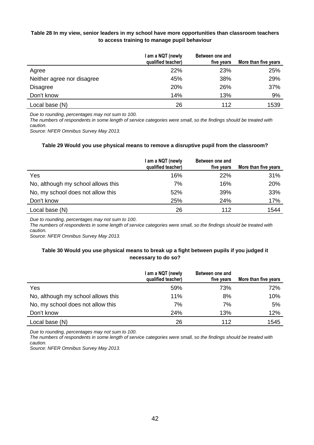### <span id="page-41-0"></span>**Table 28 In my view, senior leaders in my school have more opportunities than classroom teachers to access training to manage pupil behaviour**

|                            | I am a NQT (newly<br>qualified teacher) | Between one and<br>five years | More than five years |
|----------------------------|-----------------------------------------|-------------------------------|----------------------|
| Agree                      | 22%                                     | 23%                           | 25%                  |
| Neither agree nor disagree | 45%                                     | 38%                           | 29%                  |
| <b>Disagree</b>            | 20%                                     | 26%                           | 37%                  |
| Don't know                 | 14%                                     | 13%                           | 9%                   |
| Local base (N)             | 26                                      | 112                           | 1539                 |

*Due to rounding, percentages may not sum to 100.*

*The numbers of respondents in some length of service categories were small, so the findings should be treated with caution.*

<span id="page-41-1"></span>*Source: NFER Omnibus Survey May 2013.*

#### **Table 29 Would you use physical means to remove a disruptive pupil from the classroom?**

|                                    | am a NQT (newly<br>qualified teacher) | Between one and<br>five years | More than five years |
|------------------------------------|---------------------------------------|-------------------------------|----------------------|
| Yes                                | 16%                                   | <b>22%</b>                    | 31%                  |
| No, although my school allows this | 7%                                    | 16%                           | 20%                  |
| No, my school does not allow this  | 52%                                   | 39%                           | 33%                  |
| Don't know                         | 25%                                   | 24%                           | 17%                  |
| Local base (N)                     | 26                                    | 112                           | 1544                 |

*Due to rounding, percentages may not sum to 100.*

*The numbers of respondents in some length of service categories were small, so the findings should be treated with caution.*

<span id="page-41-2"></span>*Source: NFER Omnibus Survey May 2013.*

#### **Table 30 Would you use physical means to break up a fight between pupils if you judged it necessary to do so?**

|                                    | am a NQT (newly<br>qualified teacher) | Between one and<br>five years | More than five years |
|------------------------------------|---------------------------------------|-------------------------------|----------------------|
| Yes                                | 59%                                   | 73%                           | 72%                  |
| No, although my school allows this | 11%                                   | 8%                            | 10%                  |
| No, my school does not allow this  | 7%                                    | 7%                            | 5%                   |
| Don't know                         | 24%                                   | 13%                           | 12%                  |
| Local base (N)                     | 26                                    | 112                           | 1545                 |

*Due to rounding, percentages may not sum to 100.*

*The numbers of respondents in some length of service categories were small, so the findings should be treated with caution.*

*Source: NFER Omnibus Survey May 2013.*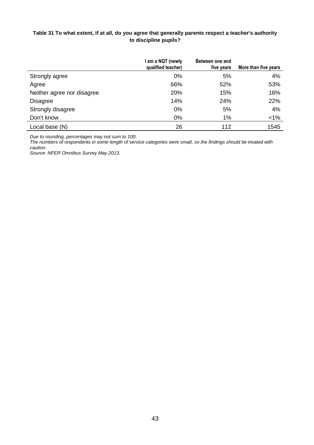### <span id="page-42-0"></span>**Table 31 To what extent, if at all, do you agree that generally parents respect a teacher's authority to discipline pupils?**

|                            | am a NQT (newly<br>qualified teacher) | Between one and<br>five years | More than five years |
|----------------------------|---------------------------------------|-------------------------------|----------------------|
| Strongly agree             | 0%                                    | 5%                            | 4%                   |
| Agree                      | 66%                                   | 52%                           | 53%                  |
| Neither agree nor disagree | 20%                                   | 15%                           | 16%                  |
| <b>Disagree</b>            | 14%                                   | 24%                           | 22%                  |
| Strongly disagree          | 0%                                    | 5%                            | 4%                   |
| Don't know                 | 0%                                    | 1%                            | $< 1\%$              |
| Local base (N)             | 26                                    | 112                           | 1545                 |

*Due to rounding, percentages may not sum to 100.*

*The numbers of respondents in some length of service categories were small, so the findings should be treated with caution.*

*Source: NFER Omnibus Survey May 2013.*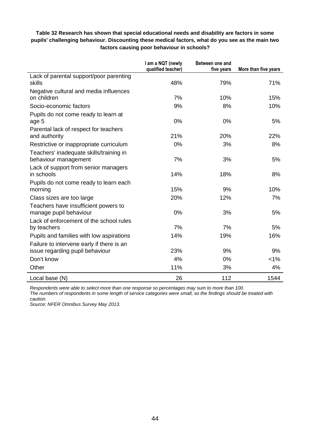### <span id="page-43-0"></span>**Table 32 Research has shown that special educational needs and disability are factors in some pupils' challenging behaviour. Discounting these medical factors, what do you see as the main two factors causing poor behaviour in schools?**

|                                                                              | I am a NQT (newly<br>qualified teacher) | Between one and<br>five years | More than five years |
|------------------------------------------------------------------------------|-----------------------------------------|-------------------------------|----------------------|
| Lack of parental support/poor parenting<br>skills                            | 48%                                     | 79%                           | 71%                  |
| Negative cultural and media influences<br>on children                        | 7%                                      | 10%                           | 15%                  |
| Socio-economic factors                                                       | 9%                                      | 8%                            | 10%                  |
| Pupils do not come ready to learn at<br>age 5                                | 0%                                      | 0%                            | 5%                   |
| Parental lack of respect for teachers<br>and authority                       | 21%                                     | 20%                           | 22%                  |
| Restrictive or inappropriate curriculum                                      | 0%                                      | 3%                            | 8%                   |
| Teachers' inadequate skills/training in<br>behaviour management              | 7%                                      | 3%                            | 5%                   |
| Lack of support from senior managers<br>in schools                           | 14%                                     | 18%                           | 8%                   |
| Pupils do not come ready to learn each<br>morning                            | 15%                                     | 9%                            | 10%                  |
| Class sizes are too large                                                    | 20%                                     | 12%                           | 7%                   |
| Teachers have insufficient powers to<br>manage pupil behaviour               | 0%                                      | 3%                            | 5%                   |
| Lack of enforcement of the school rules<br>by teachers                       | 7%                                      | 7%                            | 5%                   |
| Pupils and families with low aspirations                                     | 14%                                     | 19%                           | 16%                  |
| Failure to intervene early if there is an<br>issue regarding pupil behaviour | 23%                                     | 9%                            | 9%                   |
| Don't know                                                                   | 4%                                      | 0%                            | $< 1\%$              |
| Other                                                                        | 11%                                     | 3%                            | 4%                   |
| Local base (N)                                                               | 26                                      | 112                           | 1544                 |

*Respondents were able to select more than one response so percentages may sum to more than 100. The numbers of respondents in some length of service categories were small, so the findings should be treated with caution.*

*Source: NFER Omnibus Survey May 2013.*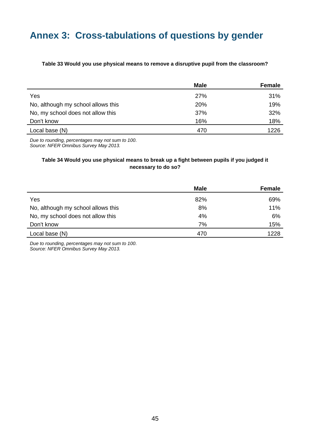# <span id="page-44-0"></span>**Annex 3: Cross-tabulations of questions by gender**

#### <span id="page-44-1"></span>**Table 33 Would you use physical means to remove a disruptive pupil from the classroom?**

|                                    | <b>Male</b> | Female |
|------------------------------------|-------------|--------|
| Yes                                | <b>27%</b>  | 31%    |
| No, although my school allows this | 20%         | 19%    |
| No, my school does not allow this  | 37%         | 32%    |
| Don't know                         | 16%         | 18%    |
| Local base (N)                     | 470         | 1226   |

*Due to rounding, percentages may not sum to 100. Source: NFER Omnibus Survey May 2013.*

### <span id="page-44-2"></span>**Table 34 Would you use physical means to break up a fight between pupils if you judged it necessary to do so?**

|                                    | <b>Male</b> | Female |
|------------------------------------|-------------|--------|
| Yes                                | 82%         | 69%    |
| No, although my school allows this | 8%          | 11%    |
| No, my school does not allow this  | 4%          | 6%     |
| Don't know                         | 7%          | 15%    |
| Local base (N)                     | 470         | 1228   |

*Due to rounding, percentages may not sum to 100. Source: NFER Omnibus Survey May 2013.*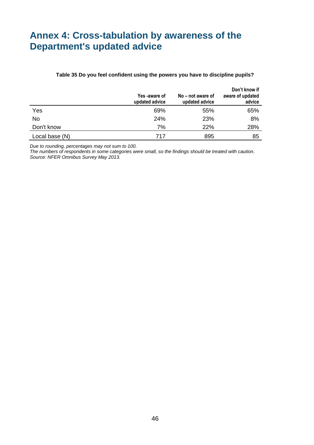# <span id="page-45-0"></span>**Annex 4: Cross-tabulation by awareness of the Department's updated advice**

#### **Table 35 Do you feel confident using the powers you have to discipline pupils?**

<span id="page-45-1"></span>

|                | Yes -aware of<br>updated advice | No – not aware of<br>updated advice | Don't know if<br>aware of updated<br>advice |
|----------------|---------------------------------|-------------------------------------|---------------------------------------------|
| Yes            | 69%                             | 55%                                 | 65%                                         |
| No             | 24%                             | 23%                                 | 8%                                          |
| Don't know     | 7%                              | 22%                                 | 28%                                         |
| Local base (N) | 717                             | 895                                 | 85                                          |

*Due to rounding, percentages may not sum to 100.*

*The numbers of respondents in some categories were small, so the findings should be treated with caution. Source: NFER Omnibus Survey May 2013.*